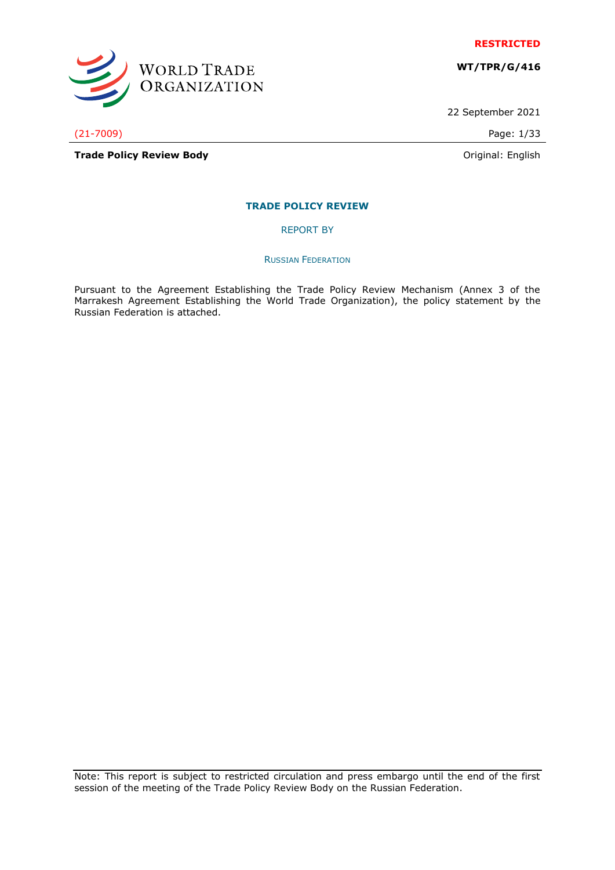

**WT/TPR/G/416**

22 September 2021

(21-7009) Page: 1/33

WORLD TRADE<br>ORGANIZATION

**Trade Policy Review Body Contract Contract Contract Contract Contract Contract Contract Contract Contract Contract Contract Contract Contract Contract Contract Contract Contract Contract Contract Contract Contract Contr** 

# **TRADE POLICY REVIEW**

REPORT BY

#### RUSSIAN FEDERATION

Pursuant to the Agreement Establishing the Trade Policy Review Mechanism (Annex 3 of the Marrakesh Agreement Establishing the World Trade Organization), the policy statement by the Russian Federation is attached.

Note: This report is subject to restricted circulation and press embargo until the end of the first session of the meeting of the Trade Policy Review Body on the Russian Federation.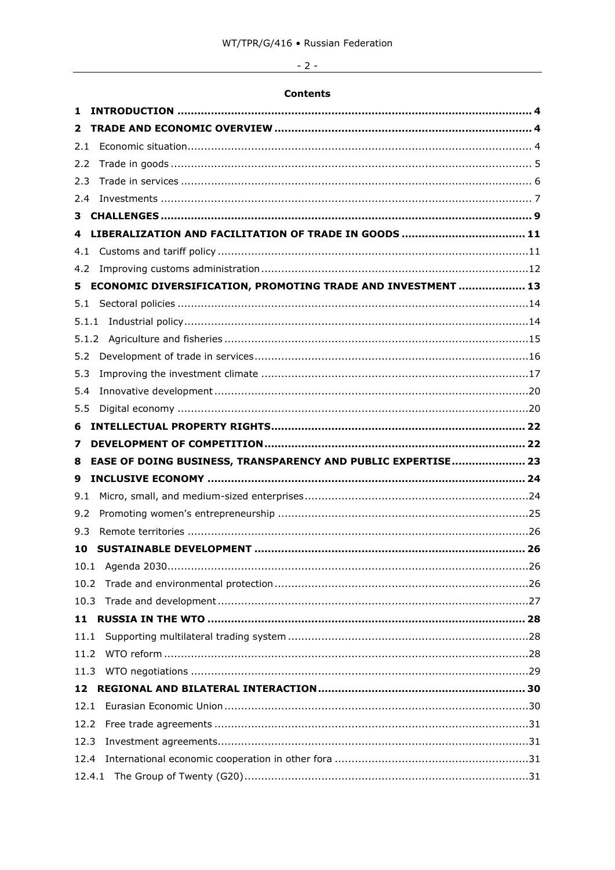# $-2-$

# **Contents**

| 1     |                                                              |
|-------|--------------------------------------------------------------|
| 2     |                                                              |
| 2.1   |                                                              |
| 2.2   |                                                              |
| 2.3   |                                                              |
| 2.4   |                                                              |
| 3.    |                                                              |
| 4     |                                                              |
| 4.1   |                                                              |
| 4.2   |                                                              |
| 5.    | ECONOMIC DIVERSIFICATION, PROMOTING TRADE AND INVESTMENT  13 |
| 5.1   |                                                              |
|       |                                                              |
| 5.1.2 |                                                              |
| 5.2   |                                                              |
| 5.3   |                                                              |
| 5.4   |                                                              |
| 5.5   |                                                              |
| 6     |                                                              |
| 7     |                                                              |
| 8     | EASE OF DOING BUSINESS, TRANSPARENCY AND PUBLIC EXPERTISE 23 |
| 9     |                                                              |
| 9.1   |                                                              |
| 9.2   |                                                              |
| 9.3   |                                                              |
| 10    |                                                              |
|       |                                                              |
| 10.2  |                                                              |
|       |                                                              |
| 11    |                                                              |
| 11.1  |                                                              |
| 11.2  |                                                              |
| 11.3  |                                                              |
| 12    |                                                              |
| 12.1  |                                                              |
| 12.2  |                                                              |
| 12.3  |                                                              |
| 12.4  |                                                              |
|       |                                                              |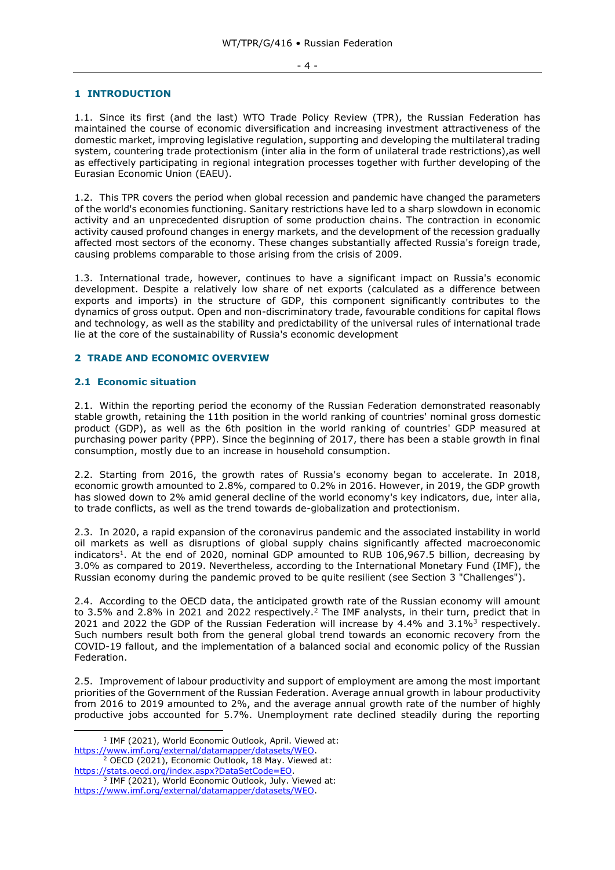#### - 4 -

#### <span id="page-3-0"></span>**1 INTRODUCTION**

1.1. Since its first (and the last) WTO Trade Policy Review (TPR), the Russian Federation has maintained the course of economic diversification and increasing investment attractiveness of the domestic market, improving legislative regulation, supporting and developing the multilateral trading system, countering trade protectionism (inter alia in the form of unilateral trade restrictions),as well as effectively participating in regional integration processes together with further developing of the Eurasian Economic Union (EAEU).

1.2. This TPR covers the period when global recession and pandemic have changed the parameters of the world's economies functioning. Sanitary restrictions have led to a sharp slowdown in economic activity and an unprecedented disruption of some production chains. The contraction in economic activity caused profound changes in energy markets, and the development of the recession gradually affected most sectors of the economy. These changes substantially affected Russia's foreign trade, causing problems comparable to those arising from the crisis of 2009.

1.3. International trade, however, continues to have a significant impact on Russia's economic development. Despite a relatively low share of net exports (calculated as a difference between exports and imports) in the structure of GDP, this component significantly contributes to the dynamics of gross output. Open and non-discriminatory trade, favourable conditions for capital flows and technology, as well as the stability and predictability of the universal rules of international trade lie at the core of the sustainability of Russia's economic development

# <span id="page-3-1"></span>**2 TRADE AND ECONOMIC OVERVIEW**

#### <span id="page-3-2"></span>**2.1 Economic situation**

2.1. Within the reporting period the economy of the Russian Federation demonstrated reasonably stable growth, retaining the 11th position in the world ranking of countries' nominal gross domestic product (GDP), as well as the 6th position in the world ranking of countries' GDP measured at purchasing power parity (PPP). Since the beginning of 2017, there has been a stable growth in final consumption, mostly due to an increase in household consumption.

2.2. Starting from 2016, the growth rates of Russia's economy began to accelerate. In 2018, economic growth amounted to 2.8%, compared to 0.2% in 2016. However, in 2019, the GDP growth has slowed down to 2% amid general decline of the world economy's key indicators, due, inter alia, to trade conflicts, as well as the trend towards de-globalization and protectionism.

2.3. In 2020, a rapid expansion of the coronavirus pandemic and the associated instability in world oil markets as well as disruptions of global supply chains significantly affected macroeconomic indicators<sup>1</sup>. At the end of 2020, nominal GDP amounted to RUB 106,967.5 billion, decreasing by 3.0% as compared to 2019. Nevertheless, according to the International Monetary Fund (IMF), the Russian economy during the pandemic proved to be quite resilient (see Section 3 "Challenges").

2.4. According to the OECD data, the anticipated growth rate of the Russian economy will amount to 3.5% and 2.8% in 2021 and 2022 respectively.<sup>2</sup> The IMF analysts, in their turn, predict that in 2021 and 2022 the GDP of the Russian Federation will increase by 4.4% and 3.1%<sup>3</sup> respectively. Such numbers result both from the general global trend towards an economic recovery from the COVID-19 fallout, and the implementation of a balanced social and economic policy of the Russian Federation.

2.5. Improvement of labour productivity and support of employment are among the most important priorities of the Government of the Russian Federation. Average annual growth in labour productivity from 2016 to 2019 amounted to 2%, and the average annual growth rate of the number of highly productive jobs accounted for 5.7%. Unemployment rate declined steadily during the reporting

<sup>&</sup>lt;sup>1</sup> IMF (2021), World Economic Outlook, April. Viewed at: [https://www.imf.org/external/datamapper/datasets/WEO.](https://www.imf.org/external/datamapper/datasets/WEO)

<sup>&</sup>lt;sup>2</sup> OECD (2021), Economic Outlook, 18 May. Viewed at: [https://stats.oecd.org/index.aspx?DataSetCode=EO.](https://stats.oecd.org/index.aspx?DataSetCode=EO)

<sup>3</sup> IMF (2021), World Economic Outlook, July. Viewed at: [https://www.imf.org/external/datamapper/datasets/WEO.](https://www.imf.org/external/datamapper/datasets/WEO)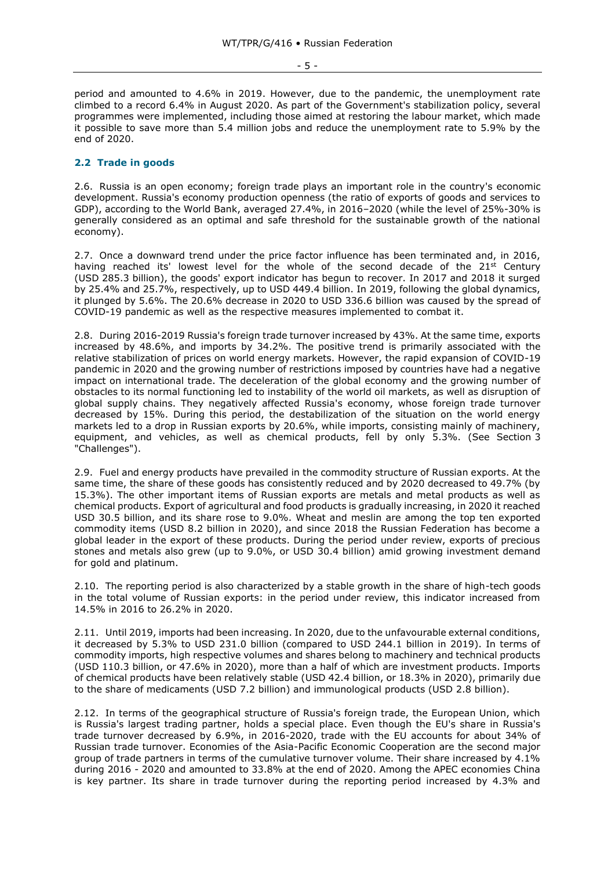- 5 -

period and amounted to 4.6% in 2019. However, due to the pandemic, the unemployment rate climbed to a record 6.4% in August 2020. As part of the Government's stabilization policy, several programmes were implemented, including those aimed at restoring the labour market, which made it possible to save more than 5.4 million jobs and reduce the unemployment rate to 5.9% by the end of 2020.

#### <span id="page-4-0"></span>**2.2 Trade in goods**

2.6. Russia is an open economy; foreign trade plays an important role in the country's economic development. Russia's economy production openness (the ratio of exports of goods and services to GDP), according to the World Bank, averaged 27.4%, in 2016–2020 (while the level of 25%-30% is generally considered as an optimal and safe threshold for the sustainable growth of the national economy).

2.7. Once a downward trend under the price factor influence has been terminated and, in 2016, having reached its' lowest level for the whole of the second decade of the 21st Century (USD 285.3 billion), the goods' export indicator has begun to recover. In 2017 and 2018 it surged by 25.4% and 25.7%, respectively, up to USD 449.4 billion. In 2019, following the global dynamics, it plunged by 5.6%. The 20.6% decrease in 2020 to USD 336.6 billion was caused by the spread of COVID-19 pandemic as well as the respective measures implemented to combat it.

2.8. During 2016-2019 Russia's foreign trade turnover increased by 43%. At the same time, exports increased by 48.6%, and imports by 34.2%. The positive trend is primarily associated with the relative stabilization of prices on world energy markets. However, the rapid expansion of COVID-19 pandemic in 2020 and the growing number of restrictions imposed by countries have had a negative impact on international trade. The deceleration of the global economy and the growing number of obstacles to its normal functioning led to instability of the world oil markets, as well as disruption of global supply chains. They negatively affected Russia's economy, whose foreign trade turnover decreased by 15%. During this period, the destabilization of the situation on the world energy markets led to a drop in Russian exports by 20.6%, while imports, consisting mainly of machinery, equipment, and vehicles, as well as chemical products, fell by only 5.3%. (See Section 3 "Challenges").

2.9. Fuel and energy products have prevailed in the commodity structure of Russian exports. At the same time, the share of these goods has consistently reduced and by 2020 decreased to 49.7% (by 15.3%). The other important items of Russian exports are metals and metal products as well as chemical products. Export of agricultural and food products is gradually increasing, in 2020 it reached USD 30.5 billion, and its share rose to 9.0%. Wheat and meslin are among the top ten exported commodity items (USD 8.2 billion in 2020), and since 2018 the Russian Federation has become a global leader in the export of these products. During the period under review, exports of precious stones and metals also grew (up to 9.0%, or USD 30.4 billion) amid growing investment demand for gold and platinum.

2.10. The reporting period is also characterized by a stable growth in the share of high-tech goods in the total volume of Russian exports: in the period under review, this indicator increased from 14.5% in 2016 to 26.2% in 2020.

2.11. Until 2019, imports had been increasing. In 2020, due to the unfavourable external conditions, it decreased by 5.3% to USD 231.0 billion (compared to USD 244.1 billion in 2019). In terms of commodity imports, high respective volumes and shares belong to machinery and technical products (USD 110.3 billion, or 47.6% in 2020), more than a half of which are investment products. Imports of chemical products have been relatively stable (USD 42.4 billion, or 18.3% in 2020), primarily due to the share of medicaments (USD 7.2 billion) and immunological products (USD 2.8 billion).

2.12. In terms of the geographical structure of Russia's foreign trade, the European Union, which is Russia's largest trading partner, holds a special place. Even though the EU's share in Russia's trade turnover decreased by 6.9%, in 2016-2020, trade with the EU accounts for about 34% of Russian trade turnover. Economies of the Asia-Pacific Economic Cooperation are the second major group of trade partners in terms of the cumulative turnover volume. Their share increased by 4.1% during 2016 - 2020 and amounted to 33.8% at the end of 2020. Among the APEC economies China is key partner. Its share in trade turnover during the reporting period increased by 4.3% and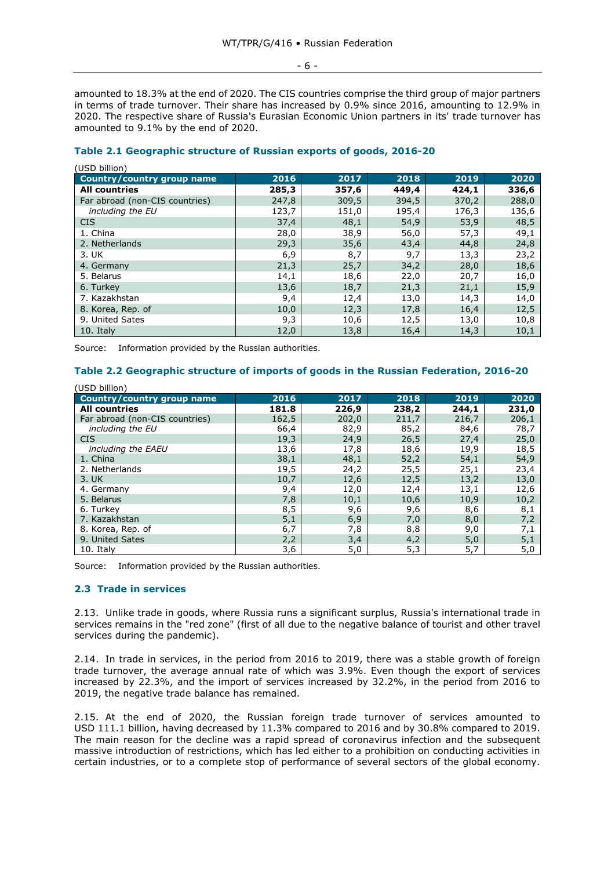- 6 -

amounted to 18.3% at the end of 2020. The CIS countries comprise the third group of major partners in terms of trade turnover. Their share has increased by 0.9% since 2016, amounting to 12.9% in 2020. The respective share of Russia's Eurasian Economic Union partners in its' trade turnover has amounted to 9.1% by the end of 2020.

| (USD billion)                     |       |       |       |       |       |
|-----------------------------------|-------|-------|-------|-------|-------|
| <b>Country/country group name</b> | 2016  | 2017  | 2018  | 2019  | 2020  |
| <b>All countries</b>              | 285,3 | 357,6 | 449,4 | 424,1 | 336,6 |
| Far abroad (non-CIS countries)    | 247,8 | 309,5 | 394,5 | 370,2 | 288,0 |
| including the EU                  | 123,7 | 151,0 | 195,4 | 176,3 | 136,6 |
| <b>CIS</b>                        | 37,4  | 48,1  | 54,9  | 53,9  | 48,5  |
| 1. China                          | 28,0  | 38,9  | 56,0  | 57,3  | 49,1  |
| 2. Netherlands                    | 29,3  | 35,6  | 43,4  | 44,8  | 24,8  |
| 3. UK                             | 6,9   | 8,7   | 9,7   | 13,3  | 23,2  |
| 4. Germany                        | 21,3  | 25,7  | 34,2  | 28,0  | 18,6  |
| 5. Belarus                        | 14,1  | 18,6  | 22,0  | 20,7  | 16,0  |
| 6. Turkey                         | 13,6  | 18,7  | 21,3  | 21,1  | 15,9  |
| 7. Kazakhstan                     | 9,4   | 12,4  | 13,0  | 14,3  | 14,0  |
| 8. Korea, Rep. of                 | 10,0  | 12,3  | 17,8  | 16,4  | 12,5  |
| 9. United Sates                   | 9,3   | 10,6  | 12,5  | 13,0  | 10,8  |
| 10. Italy                         | 12,0  | 13,8  | 16,4  | 14,3  | 10,1  |

# **Table 2.1 Geographic structure of Russian exports of goods, 2016-20**

Source: Information provided by the Russian authorities.

# **Table 2.2 Geographic structure of imports of goods in the Russian Federation, 2016-20**

| (USD billion)                     |       |       |       |       |       |  |
|-----------------------------------|-------|-------|-------|-------|-------|--|
| <b>Country/country group name</b> | 2016  | 2017  | 2018  | 2019  | 2020  |  |
| <b>All countries</b>              | 181.8 | 226,9 | 238,2 | 244,1 | 231,0 |  |
| Far abroad (non-CIS countries)    | 162,5 | 202,0 | 211,7 | 216,7 | 206,1 |  |
| including the EU                  | 66,4  | 82,9  | 85,2  | 84,6  | 78,7  |  |
| <b>CIS</b>                        | 19,3  | 24,9  | 26,5  | 27,4  | 25,0  |  |
| including the EAEU                | 13,6  | 17,8  | 18,6  | 19,9  | 18,5  |  |
| 1. China                          | 38,1  | 48,1  | 52,2  | 54,1  | 54,9  |  |
| 2. Netherlands                    | 19,5  | 24,2  | 25,5  | 25,1  | 23,4  |  |
| 3. UK                             | 10,7  | 12,6  | 12,5  | 13,2  | 13,0  |  |
| 4. Germany                        | 9,4   | 12,0  | 12,4  | 13,1  | 12,6  |  |
| 5. Belarus                        | 7,8   | 10,1  | 10,6  | 10,9  | 10,2  |  |
| 6. Turkey                         | 8,5   | 9,6   | 9,6   | 8,6   | 8,1   |  |
| 7. Kazakhstan                     | 5,1   | 6,9   | 7,0   | 8,0   | 7,2   |  |
| 8. Korea, Rep. of                 | 6,7   | 7,8   | 8,8   | 9,0   | 7,1   |  |
| 9. United Sates                   | 2,2   | 3,4   | 4,2   | 5,0   | 5,1   |  |
| 10. Italy                         | 3,6   | 5,0   | 5,3   | 5,7   | 5,0   |  |

Source: Information provided by the Russian authorities.

#### <span id="page-5-0"></span>**2.3 Trade in services**

2.13. Unlike trade in goods, where Russia runs a significant surplus, Russia's international trade in services remains in the "red zone" (first of all due to the negative balance of tourist and other travel services during the pandemic).

2.14. In trade in services, in the period from 2016 to 2019, there was a stable growth of foreign trade turnover, the average annual rate of which was 3.9%. Even though the export of services increased by 22.3%, and the import of services increased by 32.2%, in the period from 2016 to 2019, the negative trade balance has remained.

2.15. At the end of 2020, the Russian foreign trade turnover of services amounted to USD 111.1 billion, having decreased by 11.3% compared to 2016 and by 30.8% compared to 2019. The main reason for the decline was a rapid spread of coronavirus infection and the subsequent massive introduction of restrictions, which has led either to a prohibition on conducting activities in certain industries, or to a complete stop of performance of several sectors of the global economy.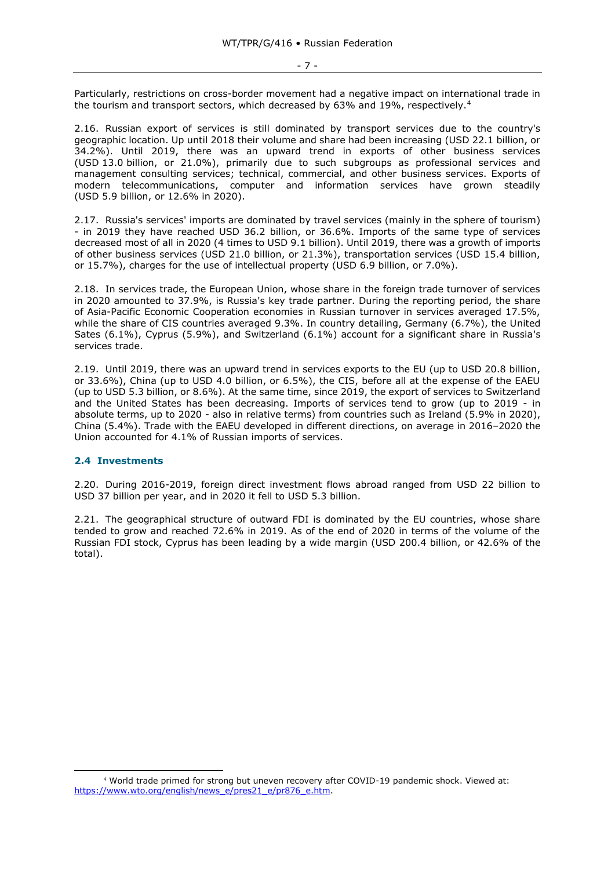Particularly, restrictions on cross-border movement had a negative impact on international trade in the tourism and transport sectors, which decreased by 63% and 19%, respectively.<sup>4</sup>

2.16. Russian export of services is still dominated by transport services due to the country's geographic location. Up until 2018 their volume and share had been increasing (USD 22.1 billion, or 34.2%). Until 2019, there was an upward trend in exports of other business services (USD 13.0 billion, or 21.0%), primarily due to such subgroups as professional services and management consulting services; technical, commercial, and other business services. Exports of modern telecommunications, computer and information services have grown steadily (USD 5.9 billion, or 12.6% in 2020).

2.17. Russia's services' imports are dominated by travel services (mainly in the sphere of tourism) - in 2019 they have reached USD 36.2 billion, or 36.6%. Imports of the same type of services decreased most of all in 2020 (4 times to USD 9.1 billion). Until 2019, there was a growth of imports of other business services (USD 21.0 billion, or 21.3%), transportation services (USD 15.4 billion, or 15.7%), charges for the use of intellectual property (USD 6.9 billion, or 7.0%).

2.18. In services trade, the European Union, whose share in the foreign trade turnover of services in 2020 amounted to 37.9%, is Russia's key trade partner. During the reporting period, the share of Asia-Pacific Economic Cooperation economies in Russian turnover in services averaged 17.5%, while the share of CIS countries averaged 9.3%. In country detailing, Germany (6.7%), the United Sates (6.1%), Cyprus (5.9%), and Switzerland (6.1%) account for a significant share in Russia's services trade.

2.19. Until 2019, there was an upward trend in services exports to the EU (up to USD 20.8 billion, or 33.6%), China (up to USD 4.0 billion, or 6.5%), the CIS, before all at the expense of the EAEU (up to USD 5.3 billion, or 8.6%). At the same time, since 2019, the export of services to Switzerland and the United States has been decreasing. Imports of services tend to grow (up to 2019 - in absolute terms, up to 2020 - also in relative terms) from countries such as Ireland (5.9% in 2020), China (5.4%). Trade with the EAEU developed in different directions, on average in 2016–2020 the Union accounted for 4.1% of Russian imports of services.

#### <span id="page-6-0"></span>**2.4 Investments**

2.20. During 2016-2019, foreign direct investment flows abroad ranged from USD 22 billion to USD 37 billion per year, and in 2020 it fell to USD 5.3 billion.

2.21. The geographical structure of outward FDI is dominated by the EU countries, whose share tended to grow and reached 72.6% in 2019. As of the end of 2020 in terms of the volume of the Russian FDI stock, Cyprus has been leading by a wide margin (USD 200.4 billion, or 42.6% of the total).

<sup>4</sup> World trade primed for strong but uneven recovery after COVID-19 pandemic shock. Viewed at: [https://www.wto.org/english/news\\_e/pres21\\_e/pr876\\_e.htm.](https://www.wto.org/english/news_e/pres21_e/pr876_e.htm)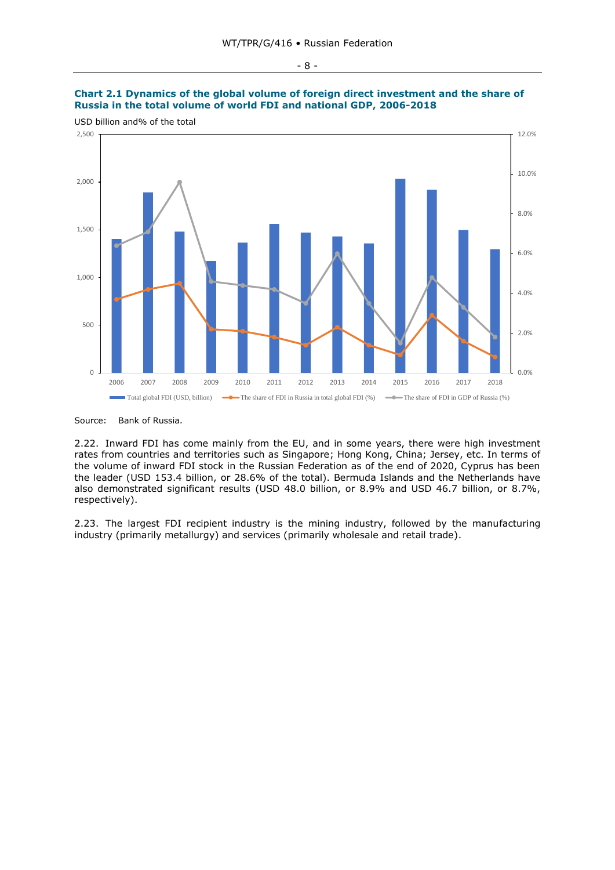# **Chart 2.1 Dynamics of the global volume of foreign direct investment and the share of**  Russia in the total volume of world FDI and national GDP, 2006-2018

USD billion and% of the total **total volume of world FDI and national GDP, USD billion and% of the total**



Source: Bank of Russia. Source: Bank of Russia.

2.22. Inward FDI has come mainly from the EU, and in some years, there were high investment rates from countries and territories such as Singapore; Hong Kong, China; Jersey, etc. In terms of the volume of inward FDI stock in the Russian Federation as of the end of 2020, Cyprus has been the leader (USD 153.4 billion, or 28.6% of the total). Bermuda Islands and the Netherlands have also demonstrated significant results (USD 48.0 billion, or 8.9% and USD 46.7 billion, or 8.7%, respectively).

2.23. The largest FDI recipient industry is the mining industry, followed by the manufacturing industry (primarily metallurgy) and services (primarily wholesale and retail trade).

#### - 8 -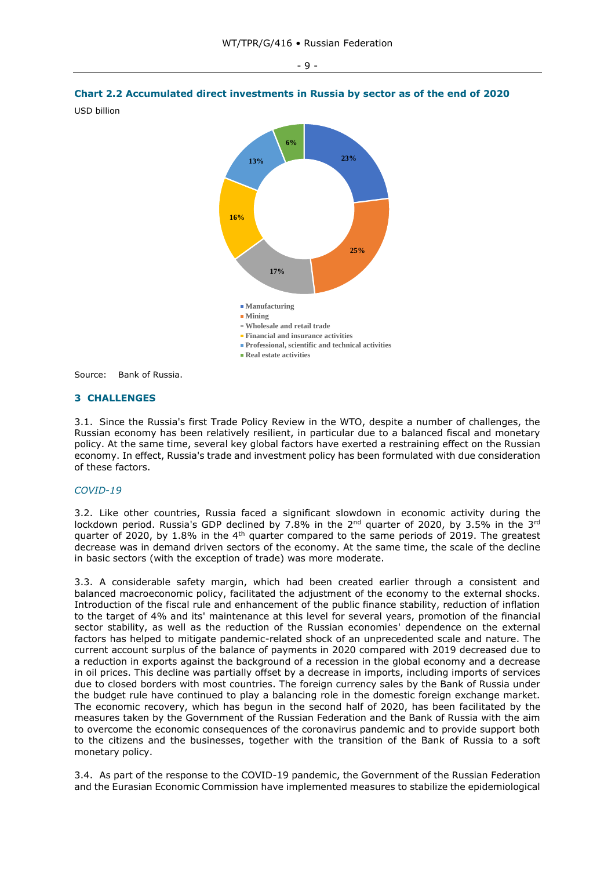

Source: Bank of Russia. Source: Bank of Russia

#### <span id="page-8-0"></span>**3 CHALLENGES**

3.1. Since the Russia's first Trade Policy Review in the WTO, despite a number of challenges, the Russian economy has been relatively resilient, in particular due to a balanced fiscal and monetary policy. At the same time, several key global factors have exerted a restraining effect on the Russian economy. In effect, Russia's trade and investment policy has been formulated with due consideration of these factors.

#### *COVID-19*

3.2. Like other countries, Russia faced a significant slowdown in economic activity during the lockdown period. Russia's GDP declined by 7.8% in the  $2^{nd}$  quarter of 2020, by 3.5% in the 3<sup>rd</sup> quarter of 2020, by 1.8% in the  $4<sup>th</sup>$  quarter compared to the same periods of 2019. The greatest decrease was in demand driven sectors of the economy. At the same time, the scale of the decline in basic sectors (with the exception of trade) was more moderate.

3.3. A considerable safety margin, which had been created earlier through a consistent and balanced macroeconomic policy, facilitated the adjustment of the economy to the external shocks. Introduction of the fiscal rule and enhancement of the public finance stability, reduction of inflation to the target of 4% and its' maintenance at this level for several years, promotion of the financial sector stability, as well as the reduction of the Russian economies' dependence on the external factors has helped to mitigate pandemic-related shock of an unprecedented scale and nature. The current account surplus of the balance of payments in 2020 compared with 2019 decreased due to a reduction in exports against the background of a recession in the global economy and a decrease in oil prices. This decline was partially offset by a decrease in imports, including imports of services due to closed borders with most countries. The foreign currency sales by the Bank of Russia under the budget rule have continued to play a balancing role in the domestic foreign exchange market. The economic recovery, which has begun in the second half of 2020, has been facilitated by the measures taken by the Government of the Russian Federation and the Bank of Russia with the aim to overcome the economic consequences of the coronavirus pandemic and to provide support both to the citizens and the businesses, together with the transition of the Bank of Russia to a soft monetary policy.

3.4. As part of the response to the COVID-19 pandemic, the Government of the Russian Federation and the Eurasian Economic Commission have implemented measures to stabilize the epidemiological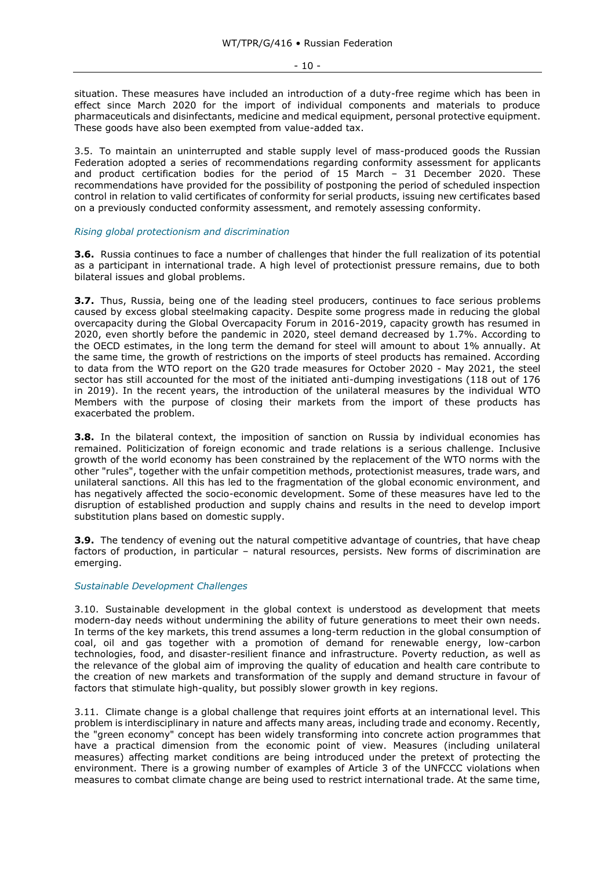$-10 -$ 

situation. These measures have included an introduction of a duty-free regime which has been in effect since March 2020 for the import of individual components and materials to produce pharmaceuticals and disinfectants, medicine and medical equipment, personal protective equipment. These goods have also been exempted from value-added tax.

3.5. To maintain an uninterrupted and stable supply level of mass-produced goods the Russian Federation adopted a series of recommendations regarding conformity assessment for applicants and product certification bodies for the period of 15 March – 31 December 2020. These recommendations have provided for the possibility of postponing the period of scheduled inspection control in relation to valid certificates of conformity for serial products, issuing new certificates based on a previously conducted conformity assessment, and remotely assessing conformity.

#### *Rising global protectionism and discrimination*

**3.6.** Russia continues to face a number of challenges that hinder the full realization of its potential as a participant in international trade. A high level of protectionist pressure remains, due to both bilateral issues and global problems.

**3.7.** Thus, Russia, being one of the leading steel producers, continues to face serious problems caused by excess global steelmaking capacity. Despite some progress made in reducing the global overcapacity during the Global Overcapacity Forum in 2016-2019, capacity growth has resumed in 2020, even shortly before the pandemic in 2020, steel demand decreased by 1.7%. According to the OECD estimates, in the long term the demand for steel will amount to about 1% annually. At the same time, the growth of restrictions on the imports of steel products has remained. According to data from the WTO report on the G20 trade measures for October 2020 - May 2021, the steel sector has still accounted for the most of the initiated anti-dumping investigations (118 out of 176 in 2019). In the recent years, the introduction of the unilateral measures by the individual WTO Members with the purpose of closing their markets from the import of these products has exacerbated the problem.

**3.8.** In the bilateral context, the imposition of sanction on Russia by individual economies has remained. Politicization of foreign economic and trade relations is a serious challenge. Inclusive growth of the world economy has been constrained by the replacement of the WTO norms with the other "rules", together with the unfair competition methods, protectionist measures, trade wars, and unilateral sanctions. All this has led to the fragmentation of the global economic environment, and has negatively affected the socio-economic development. Some of these measures have led to the disruption of established production and supply chains and results in the need to develop import substitution plans based on domestic supply.

**3.9.** The tendency of evening out the natural competitive advantage of countries, that have cheap factors of production, in particular – natural resources, persists. New forms of discrimination are emerging.

# *Sustainable Development Challenges*

3.10. Sustainable development in the global context is understood as development that meets modern-day needs without undermining the ability of future generations to meet their own needs. In terms of the key markets, this trend assumes a long-term reduction in the global consumption of coal, oil and gas together with a promotion of demand for renewable energy, low-carbon technologies, food, and disaster-resilient finance and infrastructure. Poverty reduction, as well as the relevance of the global aim of improving the quality of education and health care contribute to the creation of new markets and transformation of the supply and demand structure in favour of factors that stimulate high-quality, but possibly slower growth in key regions.

3.11. Climate change is a global challenge that requires joint efforts at an international level. This problem is interdisciplinary in nature and affects many areas, including trade and economy. Recently, the "green economy" concept has been widely transforming into concrete action programmes that have a practical dimension from the economic point of view. Measures (including unilateral measures) affecting market conditions are being introduced under the pretext of protecting the environment. There is a growing number of examples of Article 3 of the UNFCCC violations when measures to combat climate change are being used to restrict international trade. At the same time,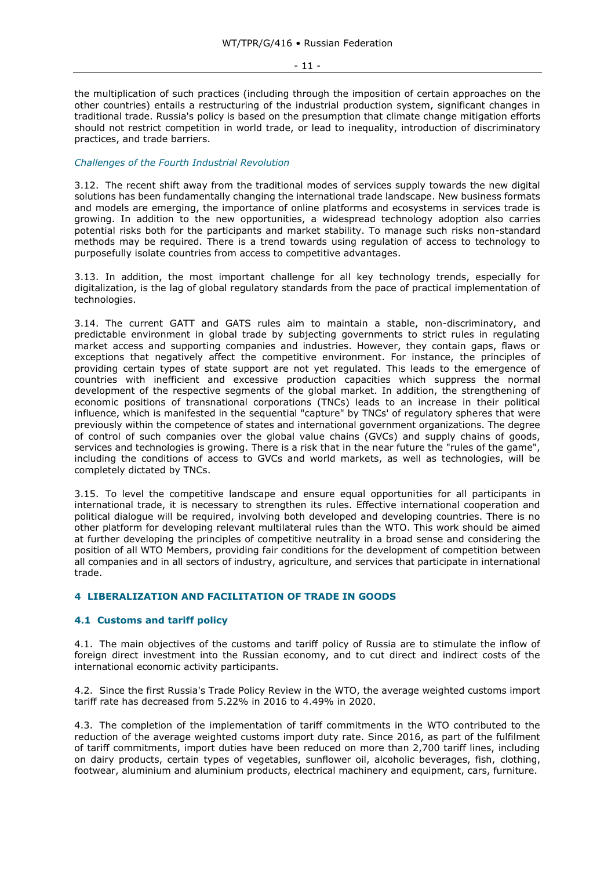- 11 -

the multiplication of such practices (including through the imposition of certain approaches on the other countries) entails a restructuring of the industrial production system, significant changes in traditional trade. Russia's policy is based on the presumption that climate change mitigation efforts should not restrict competition in world trade, or lead to inequality, introduction of discriminatory practices, and trade barriers.

#### *Challenges of the Fourth Industrial Revolution*

3.12. The recent shift away from the traditional modes of services supply towards the new digital solutions has been fundamentally changing the international trade landscape. New business formats and models are emerging, the importance of online platforms and ecosystems in services trade is growing. In addition to the new opportunities, a widespread technology adoption also carries potential risks both for the participants and market stability. To manage such risks non-standard methods may be required. There is a trend towards using regulation of access to technology to purposefully isolate countries from access to competitive advantages.

3.13. In addition, the most important challenge for all key technology trends, especially for digitalization, is the lag of global regulatory standards from the pace of practical implementation of technologies.

3.14. The current GATT and GATS rules aim to maintain a stable, non-discriminatory, and predictable environment in global trade by subjecting governments to strict rules in regulating market access and supporting companies and industries. However, they contain gaps, flaws or exceptions that negatively affect the competitive environment. For instance, the principles of providing certain types of state support are not yet regulated. This leads to the emergence of countries with inefficient and excessive production capacities which suppress the normal development of the respective segments of the global market. In addition, the strengthening of economic positions of transnational corporations (TNCs) leads to an increase in their political influence, which is manifested in the sequential "capture" by TNCs' of regulatory spheres that were previously within the competence of states and international government organizations. The degree of control of such companies over the global value chains (GVCs) and supply chains of goods, services and technologies is growing. There is a risk that in the near future the "rules of the game", including the conditions of access to GVCs and world markets, as well as technologies, will be completely dictated by TNCs.

3.15. To level the competitive landscape and ensure equal opportunities for all participants in international trade, it is necessary to strengthen its rules. Effective international cooperation and political dialogue will be required, involving both developed and developing countries. There is no other platform for developing relevant multilateral rules than the WTO. This work should be aimed at further developing the principles of competitive neutrality in a broad sense and considering the position of all WTO Members, providing fair conditions for the development of competition between all companies and in all sectors of industry, agriculture, and services that participate in international trade.

# <span id="page-10-0"></span>**4 LIBERALIZATION AND FACILITATION OF TRADE IN GOODS**

# <span id="page-10-1"></span>**4.1 Customs and tariff policy**

4.1. The main objectives of the customs and tariff policy of Russia are to stimulate the inflow of foreign direct investment into the Russian economy, and to cut direct and indirect costs of the international economic activity participants.

4.2. Since the first Russia's Trade Policy Review in the WTO, the average weighted customs import tariff rate has decreased from 5.22% in 2016 to 4.49% in 2020.

4.3. The completion of the implementation of tariff commitments in the WTO contributed to the reduction of the average weighted customs import duty rate. Since 2016, as part of the fulfilment of tariff commitments, import duties have been reduced on more than 2,700 tariff lines, including on dairy products, certain types of vegetables, sunflower oil, alcoholic beverages, fish, clothing, footwear, aluminium and aluminium products, electrical machinery and equipment, cars, furniture.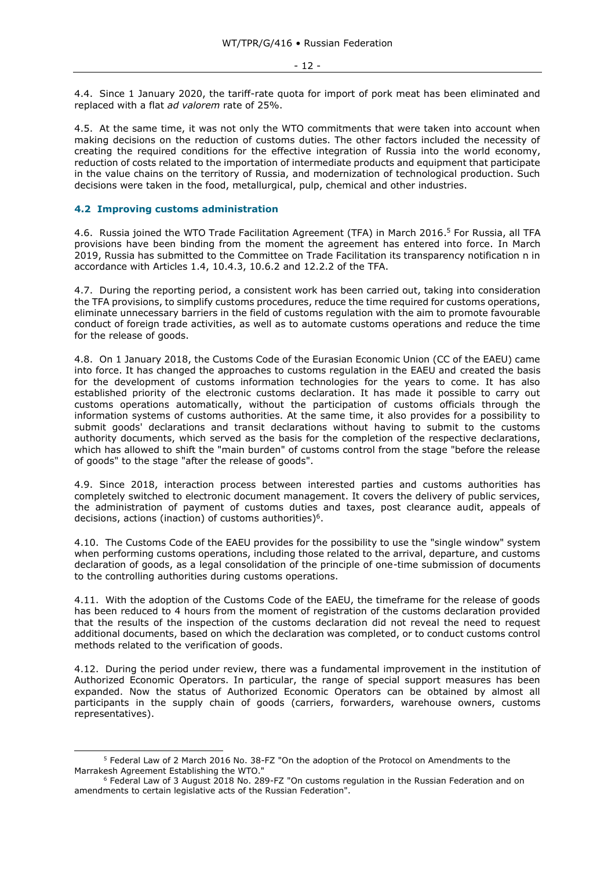4.4. Since 1 January 2020, the tariff-rate quota for import of pork meat has been eliminated and replaced with a flat *ad valorem* rate of 25%.

4.5. At the same time, it was not only the WTO commitments that were taken into account when making decisions on the reduction of customs duties. The other factors included the necessity of creating the required conditions for the effective integration of Russia into the world economy, reduction of costs related to the importation of intermediate products and equipment that participate in the value chains on the territory of Russia, and modernization of technological production. Such decisions were taken in the food, metallurgical, pulp, chemical and other industries.

#### <span id="page-11-0"></span>**4.2 Improving customs administration**

4.6. Russia joined the WTO Trade Facilitation Agreement (TFA) in March 2016. <sup>5</sup> For Russia, all TFA provisions have been binding from the moment the agreement has entered into force. In March 2019, Russia has submitted to the Committee on Trade Facilitation its transparency notification n in accordance with Articles 1.4, 10.4.3, 10.6.2 and 12.2.2 of the TFA.

4.7. During the reporting period, a consistent work has been carried out, taking into consideration the TFA provisions, to simplify customs procedures, reduce the time required for customs operations, eliminate unnecessary barriers in the field of customs regulation with the aim to promote favourable conduct of foreign trade activities, as well as to automate customs operations and reduce the time for the release of goods.

4.8. On 1 January 2018, the Customs Code of the Eurasian Economic Union (CC of the EAEU) came into force. It has changed the approaches to customs regulation in the EAEU and created the basis for the development of customs information technologies for the years to come. It has also established priority of the electronic customs declaration. It has made it possible to carry out customs operations automatically, without the participation of customs officials through the information systems of customs authorities. At the same time, it also provides for a possibility to submit goods' declarations and transit declarations without having to submit to the customs authority documents, which served as the basis for the completion of the respective declarations, which has allowed to shift the "main burden" of customs control from the stage "before the release of goods" to the stage "after the release of goods".

4.9. Since 2018, interaction process between interested parties and customs authorities has completely switched to electronic document management. It covers the delivery of public services, the administration of payment of customs duties and taxes, post clearance audit, appeals of decisions, actions (inaction) of customs authorities)<sup>6</sup>.

4.10. The Customs Code of the EAEU provides for the possibility to use the "single window" system when performing customs operations, including those related to the arrival, departure, and customs declaration of goods, as a legal consolidation of the principle of one-time submission of documents to the controlling authorities during customs operations.

4.11. With the adoption of the Customs Code of the EAEU, the timeframe for the release of goods has been reduced to 4 hours from the moment of registration of the customs declaration provided that the results of the inspection of the customs declaration did not reveal the need to request additional documents, based on which the declaration was completed, or to conduct customs control methods related to the verification of goods.

4.12. During the period under review, there was a fundamental improvement in the institution of Authorized Economic Operators. In particular, the range of special support measures has been expanded. Now the status of Authorized Economic Operators can be obtained by almost all participants in the supply chain of goods (carriers, forwarders, warehouse owners, customs representatives).

<sup>5</sup> Federal Law of 2 March 2016 No. 38-FZ "On the adoption of the Protocol on Amendments to the Marrakesh Agreement Establishing the WTO."

<sup>6</sup> Federal Law of 3 August 2018 No. 289-FZ "On customs regulation in the Russian Federation and on amendments to certain legislative acts of the Russian Federation".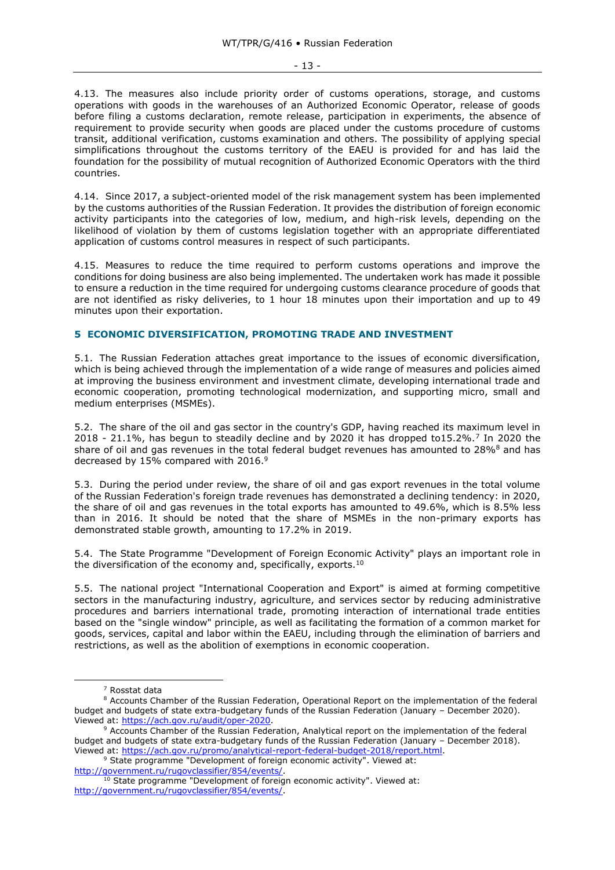- 13 -

4.13. The measures also include priority order of customs operations, storage, and customs operations with goods in the warehouses of an Authorized Economic Operator, release of goods before filing a customs declaration, remote release, participation in experiments, the absence of requirement to provide security when goods are placed under the customs procedure of customs transit, additional verification, customs examination and others. The possibility of applying special simplifications throughout the customs territory of the EAEU is provided for and has laid the foundation for the possibility of mutual recognition of Authorized Economic Operators with the third countries.

4.14. Since 2017, a subject-oriented model of the risk management system has been implemented by the customs authorities of the Russian Federation. It provides the distribution of foreign economic activity participants into the categories of low, medium, and high-risk levels, depending on the likelihood of violation by them of customs legislation together with an appropriate differentiated application of customs control measures in respect of such participants.

4.15. Measures to reduce the time required to perform customs operations and improve the conditions for doing business are also being implemented. The undertaken work has made it possible to ensure a reduction in the time required for undergoing customs clearance procedure of goods that are not identified as risky deliveries, to 1 hour 18 minutes upon their importation and up to 49 minutes upon their exportation.

# <span id="page-12-0"></span>**5 ECONOMIC DIVERSIFICATION, PROMOTING TRADE AND INVESTMENT**

5.1. The Russian Federation attaches great importance to the issues of economic diversification, which is being achieved through the implementation of a wide range of measures and policies aimed at improving the business environment and investment climate, developing international trade and economic cooperation, promoting technological modernization, and supporting micro, small and medium enterprises (MSMEs).

5.2. The share of the oil and gas sector in the country's GDP, having reached its maximum level in 2018 - 21.1%, has begun to steadily decline and by 2020 it has dropped to15.2%.<sup>7</sup> In 2020 the share of oil and gas revenues in the total federal budget revenues has amounted to 28%<sup>8</sup> and has decreased by 15% compared with 2016.<sup>9</sup>

5.3. During the period under review, the share of oil and gas export revenues in the total volume of the Russian Federation's foreign trade revenues has demonstrated a declining tendency: in 2020, the share of oil and gas revenues in the total exports has amounted to 49.6%, which is 8.5% less than in 2016. It should be noted that the share of MSMEs in the non-primary exports has demonstrated stable growth, amounting to 17.2% in 2019.

5.4. The State Programme "Development of Foreign Economic Activity" plays an important role in the diversification of the economy and, specifically, exports.<sup>10</sup>

5.5. The national project "International Cooperation and Export" is aimed at forming competitive sectors in the manufacturing industry, agriculture, and services sector by reducing administrative procedures and barriers international trade, promoting interaction of international trade entities based on the "single window" principle, as well as facilitating the formation of a common market for goods, services, capital and labor within the EAEU, including through the elimination of barriers and restrictions, as well as the abolition of exemptions in economic cooperation.

<sup>7</sup> Rosstat data

<sup>&</sup>lt;sup>8</sup> Accounts Chamber of the Russian Federation, Operational Report on the implementation of the federal budget and budgets of state extra-budgetary funds of the Russian Federation (January – December 2020). Viewed at: [https://ach.gov.ru/audit/oper-2020.](https://ach.gov.ru/audit/oper-2020)

<sup>9</sup> Accounts Chamber of the Russian Federation, Analytical report on the implementation of the federal budget and budgets of state extra-budgetary funds of the Russian Federation (January – December 2018). Viewed at: [https://ach.gov.ru/promo/analytical-report-federal-budget-2018/report.html.](https://ach.gov.ru/promo/analytical-report-federal-budget-2018/report.html)

<sup>&</sup>lt;sup>9</sup> State programme "Development of foreign economic activity". Viewed at: [http://government.ru/rugovclassifier/854/events/.](http://government.ru/rugovclassifier/854/events/)

<sup>&</sup>lt;sup>10</sup> State programme "Development of foreign economic activity". Viewed at: [http://government.ru/rugovclassifier/854/events/.](http://government.ru/rugovclassifier/854/events/)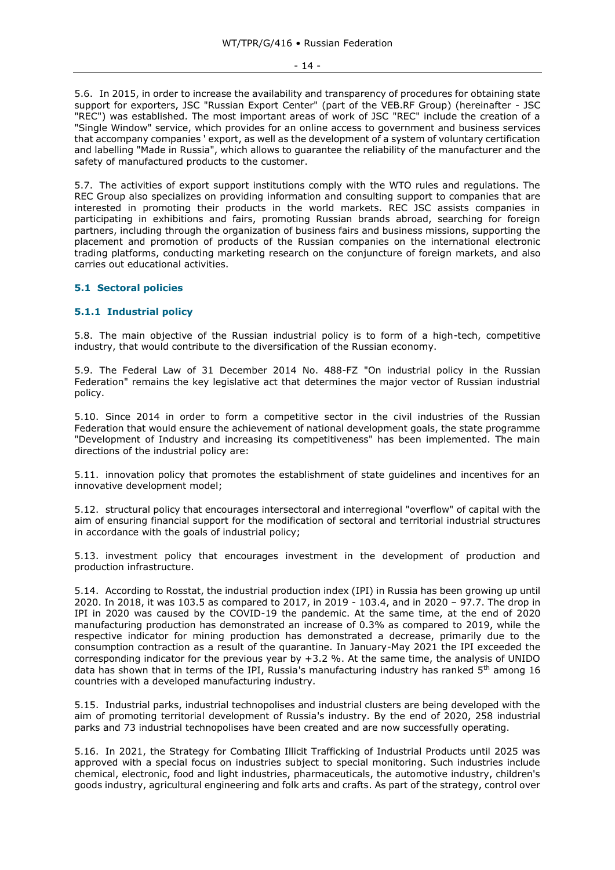#### - 14 -

5.6. In 2015, in order to increase the availability and transparency of procedures for obtaining state support for exporters, JSC "Russian Export Center" (part of the VEB.RF Group) (hereinafter - JSC "REC") was established. The most important areas of work of JSC "REC" include the creation of a "Single Window" service, which provides for an online access to government and business services that accompany companies ' export, as well as the development of a system of voluntary certification and labelling "Made in Russia", which allows to guarantee the reliability of the manufacturer and the safety of manufactured products to the customer.

5.7. The activities of export support institutions comply with the WTO rules and regulations. The REC Group also specializes on providing information and consulting support to companies that are interested in promoting their products in the world markets. REC JSC assists companies in participating in exhibitions and fairs, promoting Russian brands abroad, searching for foreign partners, including through the organization of business fairs and business missions, supporting the placement and promotion of products of the Russian companies on the international electronic trading platforms, conducting marketing research on the conjuncture of foreign markets, and also carries out educational activities.

# <span id="page-13-0"></span>**5.1 Sectoral policies**

#### <span id="page-13-1"></span>**5.1.1 Industrial policy**

5.8. The main objective of the Russian industrial policy is to form of a high-tech, competitive industry, that would contribute to the diversification of the Russian economy.

5.9. The Federal Law of 31 December 2014 No. 488-FZ "On industrial policy in the Russian Federation" remains the key legislative act that determines the major vector of Russian industrial policy.

5.10. Since 2014 in order to form a competitive sector in the civil industries of the Russian Federation that would ensure the achievement of national development goals, the state programme "Development of Industry and increasing its competitiveness" has been implemented. The main directions of the industrial policy are:

5.11. innovation policy that promotes the establishment of state guidelines and incentives for an innovative development model;

5.12. structural policy that encourages intersectoral and interregional "overflow" of capital with the aim of ensuring financial support for the modification of sectoral and territorial industrial structures in accordance with the goals of industrial policy;

5.13. investment policy that encourages investment in the development of production and production infrastructure.

5.14. According to Rosstat, the industrial production index (IPI) in Russia has been growing up until 2020. In 2018, it was 103.5 as compared to 2017, in 2019 - 103.4, and in 2020 – 97.7. The drop in IPI in 2020 was caused by the COVID-19 the pandemic. At the same time, at the end of 2020 manufacturing production has demonstrated an increase of 0.3% as compared to 2019, while the respective indicator for mining production has demonstrated a decrease, primarily due to the consumption contraction as a result of the quarantine. In January-May 2021 the IPI exceeded the corresponding indicator for the previous year by +3.2 %. At the same time, the analysis of UNIDO data has shown that in terms of the IPI, Russia's manufacturing industry has ranked  $5<sup>th</sup>$  among 16 countries with a developed manufacturing industry.

5.15. Industrial parks, industrial technopolises and industrial clusters are being developed with the aim of promoting territorial development of Russia's industry. By the end of 2020, 258 industrial parks and 73 industrial technopolises have been created and are now successfully operating.

5.16. In 2021, the Strategy for Combating Illicit Trafficking of Industrial Products until 2025 was approved with a special focus on industries subject to special monitoring. Such industries include chemical, electronic, food and light industries, pharmaceuticals, the automotive industry, children's goods industry, agricultural engineering and folk arts and crafts. As part of the strategy, control over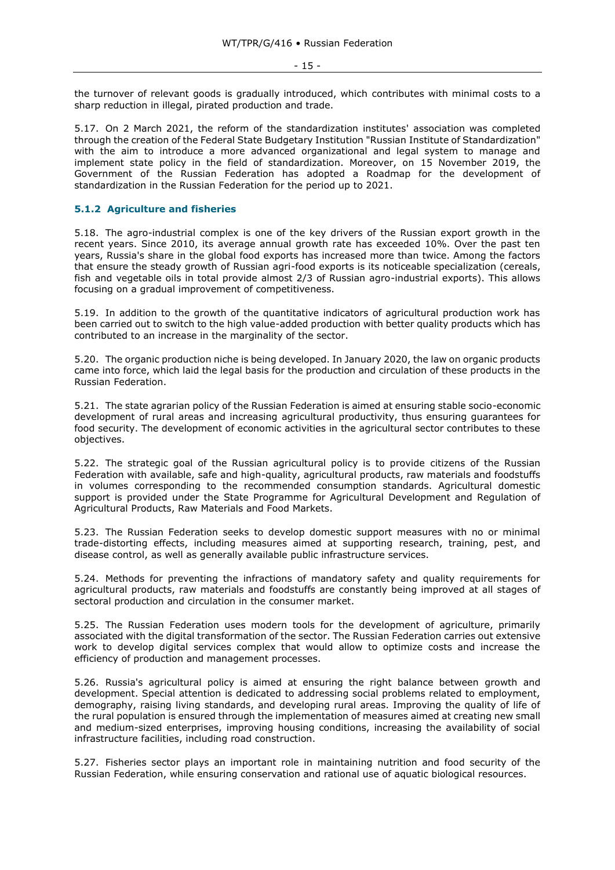- 15 -

the turnover of relevant goods is gradually introduced, which contributes with minimal costs to a sharp reduction in illegal, pirated production and trade.

5.17. On 2 March 2021, the reform of the standardization institutes' association was completed through the creation of the Federal State Budgetary Institution "Russian Institute of Standardization" with the aim to introduce a more advanced organizational and legal system to manage and implement state policy in the field of standardization. Moreover, on 15 November 2019, the Government of the Russian Federation has adopted a Roadmap for the development of standardization in the Russian Federation for the period up to 2021.

# <span id="page-14-0"></span>**5.1.2 Agriculture and fisheries**

5.18. The agro-industrial complex is one of the key drivers of the Russian export growth in the recent years. Since 2010, its average annual growth rate has exceeded 10%. Over the past ten years, Russia's share in the global food exports has increased more than twice. Among the factors that ensure the steady growth of Russian agri-food exports is its noticeable specialization (cereals, fish and vegetable oils in total provide almost 2/3 of Russian agro-industrial exports). This allows focusing on a gradual improvement of competitiveness.

5.19. In addition to the growth of the quantitative indicators of agricultural production work has been carried out to switch to the high value-added production with better quality products which has contributed to an increase in the marginality of the sector.

5.20. The organic production niche is being developed. In January 2020, the law on organic products came into force, which laid the legal basis for the production and circulation of these products in the Russian Federation.

5.21. The state agrarian policy of the Russian Federation is aimed at ensuring stable socio-economic development of rural areas and increasing agricultural productivity, thus ensuring guarantees for food security. The development of economic activities in the agricultural sector contributes to these objectives.

5.22. The strategic goal of the Russian agricultural policy is to provide citizens of the Russian Federation with available, safe and high-quality, agricultural products, raw materials and foodstuffs in volumes corresponding to the recommended consumption standards. Agricultural domestic support is provided under the State Programme for Agricultural Development and Regulation of Agricultural Products, Raw Materials and Food Markets.

5.23. The Russian Federation seeks to develop domestic support measures with no or minimal trade-distorting effects, including measures aimed at supporting research, training, pest, and disease control, as well as generally available public infrastructure services.

5.24. Methods for preventing the infractions of mandatory safety and quality requirements for agricultural products, raw materials and foodstuffs are constantly being improved at all stages of sectoral production and circulation in the consumer market.

5.25. The Russian Federation uses modern tools for the development of agriculture, primarily associated with the digital transformation of the sector. The Russian Federation carries out extensive work to develop digital services complex that would allow to optimize costs and increase the efficiency of production and management processes.

5.26. Russia's agricultural policy is aimed at ensuring the right balance between growth and development. Special attention is dedicated to addressing social problems related to employment, demography, raising living standards, and developing rural areas. Improving the quality of life of the rural population is ensured through the implementation of measures aimed at creating new small and medium-sized enterprises, improving housing conditions, increasing the availability of social infrastructure facilities, including road construction.

5.27. Fisheries sector plays an important role in maintaining nutrition and food security of the Russian Federation, while ensuring conservation and rational use of aquatic biological resources.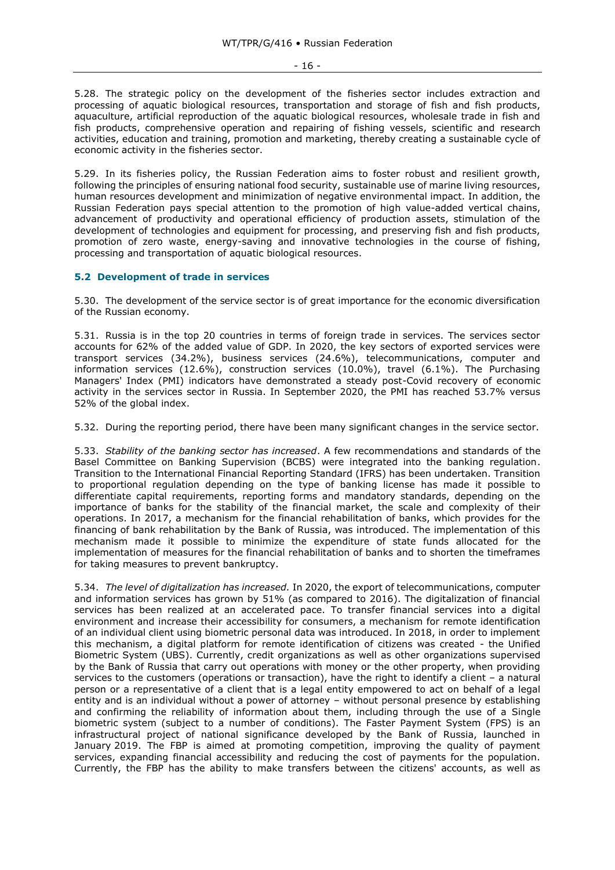5.28. The strategic policy on the development of the fisheries sector includes extraction and processing of aquatic biological resources, transportation and storage of fish and fish products, aquaculture, artificial reproduction of the aquatic biological resources, wholesale trade in fish and fish products, comprehensive operation and repairing of fishing vessels, scientific and research activities, education and training, promotion and marketing, thereby creating a sustainable cycle of economic activity in the fisheries sector.

5.29. In its fisheries policy, the Russian Federation aims to foster robust and resilient growth, following the principles of ensuring national food security, sustainable use of marine living resources, human resources development and minimization of negative environmental impact. In addition, the Russian Federation pays special attention to the promotion of high value-added vertical chains, advancement of productivity and operational efficiency of production assets, stimulation of the development of technologies and equipment for processing, and preserving fish and fish products, promotion of zero waste, energy-saving and innovative technologies in the course of fishing, processing and transportation of aquatic biological resources.

#### <span id="page-15-0"></span>**5.2 Development of trade in services**

5.30. The development of the service sector is of great importance for the economic diversification of the Russian economy.

5.31. Russia is in the top 20 countries in terms of foreign trade in services. The services sector accounts for 62% of the added value of GDP. In 2020, the key sectors of exported services were transport services (34.2%), business services (24.6%), telecommunications, computer and information services (12.6%), construction services (10.0%), travel (6.1%). The Purchasing Managers' Index (PMI) indicators have demonstrated a steady post-Covid recovery of economic activity in the services sector in Russia. In September 2020, the PMI has reached 53.7% versus 52% of the global index.

5.32. During the reporting period, there have been many significant changes in the service sector.

5.33. *Stability of the banking sector has increased*. A few recommendations and standards of the Basel Committee on Banking Supervision (BCBS) were integrated into the banking regulation. Transition to the International Financial Reporting Standard (IFRS) has been undertaken. Transition to proportional regulation depending on the type of banking license has made it possible to differentiate capital requirements, reporting forms and mandatory standards, depending on the importance of banks for the stability of the financial market, the scale and complexity of their operations. In 2017, a mechanism for the financial rehabilitation of banks, which provides for the financing of bank rehabilitation by the Bank of Russia, was introduced. The implementation of this mechanism made it possible to minimize the expenditure of state funds allocated for the implementation of measures for the financial rehabilitation of banks and to shorten the timeframes for taking measures to prevent bankruptcy.

5.34. *The level of digitalization has increased.* In 2020, the export of telecommunications, computer and information services has grown by 51% (as compared to 2016). The digitalization of financial services has been realized at an accelerated pace. To transfer financial services into a digital environment and increase their accessibility for consumers, a mechanism for remote identification of an individual client using biometric personal data was introduced. In 2018, in order to implement this mechanism, a digital platform for remote identification of citizens was created - the Unified Biometric System (UBS). Currently, credit organizations as well as other organizations supervised by the Bank of Russia that carry out operations with money or the other property, when providing services to the customers (operations or transaction), have the right to identify a client – a natural person or a representative of a client that is a legal entity empowered to act on behalf of a legal entity and is an individual without a power of attorney – without personal presence by establishing and confirming the reliability of information about them, including through the use of a Single biometric system (subject to a number of conditions). The Faster Payment System (FPS) is an infrastructural project of national significance developed by the Bank of Russia, launched in January 2019. The FBP is aimed at promoting competition, improving the quality of payment services, expanding financial accessibility and reducing the cost of payments for the population. Currently, the FBP has the ability to make transfers between the citizens' accounts, as well as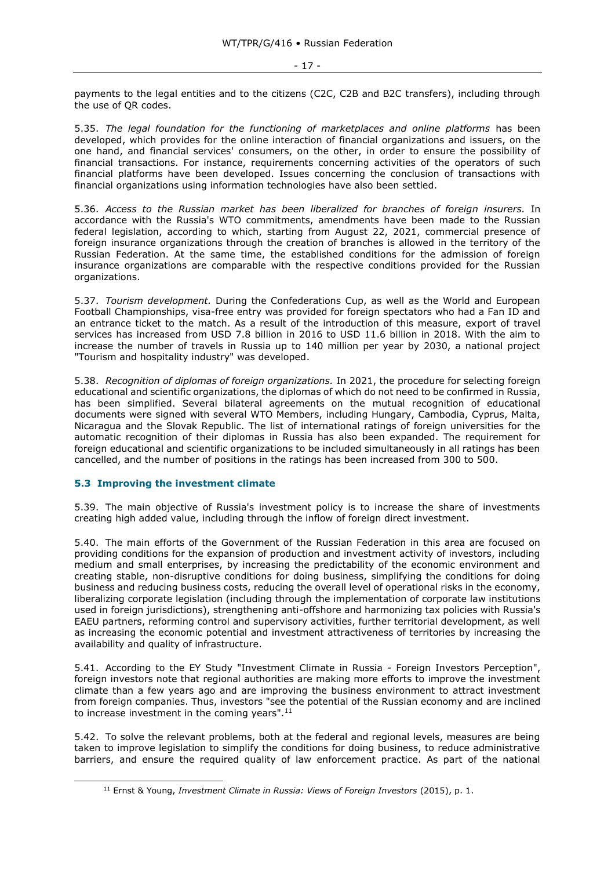payments to the legal entities and to the citizens (C2C, C2B and B2C transfers), including through the use of QR codes.

5.35. *The legal foundation for the functioning of marketplaces and online platforms* has been developed, which provides for the online interaction of financial organizations and issuers, on the one hand, and financial services' consumers, on the other, in order to ensure the possibility of financial transactions. For instance, requirements concerning activities of the operators of such financial platforms have been developed. Issues concerning the conclusion of transactions with financial organizations using information technologies have also been settled.

5.36. *Access to the Russian market has been liberalized for branches of foreign insurers.* In accordance with the Russia's WTO commitments, amendments have been made to the Russian federal legislation, according to which, starting from August 22, 2021, commercial presence of foreign insurance organizations through the creation of branches is allowed in the territory of the Russian Federation. At the same time, the established conditions for the admission of foreign insurance organizations are comparable with the respective conditions provided for the Russian organizations.

5.37. *Tourism development.* During the Confederations Cup, as well as the World and European Football Championships, visa-free entry was provided for foreign spectators who had a Fan ID and an entrance ticket to the match. As a result of the introduction of this measure, export of travel services has increased from USD 7.8 billion in 2016 to USD 11.6 billion in 2018. With the aim to increase the number of travels in Russia up to 140 million per year by 2030, a national project "Tourism and hospitality industry" was developed.

5.38. *Recognition of diplomas of foreign organizations.* In 2021, the procedure for selecting foreign educational and scientific organizations, the diplomas of which do not need to be confirmed in Russia, has been simplified. Several bilateral agreements on the mutual recognition of educational documents were signed with several WTO Members, including Hungary, Cambodia, Cyprus, Malta, Nicaragua and the Slovak Republic. The list of international ratings of foreign universities for the automatic recognition of their diplomas in Russia has also been expanded. The requirement for foreign educational and scientific organizations to be included simultaneously in all ratings has been cancelled, and the number of positions in the ratings has been increased from 300 to 500.

# <span id="page-16-0"></span>**5.3 Improving the investment climate**

5.39. The main objective of Russia's investment policy is to increase the share of investments creating high added value, including through the inflow of foreign direct investment.

5.40. The main efforts of the Government of the Russian Federation in this area are focused on providing conditions for the expansion of production and investment activity of investors, including medium and small enterprises, by increasing the predictability of the economic environment and creating stable, non-disruptive conditions for doing business, simplifying the conditions for doing business and reducing business costs, reducing the overall level of operational risks in the economy, liberalizing corporate legislation (including through the implementation of corporate law institutions used in foreign jurisdictions), strengthening anti-offshore and harmonizing tax policies with Russia's EAEU partners, reforming control and supervisory activities, further territorial development, as well as increasing the economic potential and investment attractiveness of territories by increasing the availability and quality of infrastructure.

5.41. According to the EY Study "Investment Climate in Russia - Foreign Investors Perception", foreign investors note that regional authorities are making more efforts to improve the investment climate than a few years ago and are improving the business environment to attract investment from foreign companies. Thus, investors "see the potential of the Russian economy and are inclined to increase investment in the coming years".<sup>11</sup>

5.42. To solve the relevant problems, both at the federal and regional levels, measures are being taken to improve legislation to simplify the conditions for doing business, to reduce administrative barriers, and ensure the required quality of law enforcement practice. As part of the national

<sup>11</sup> Ernst & Young, *Investment Climate in Russia: Views of Foreign Investors* (2015), p. 1.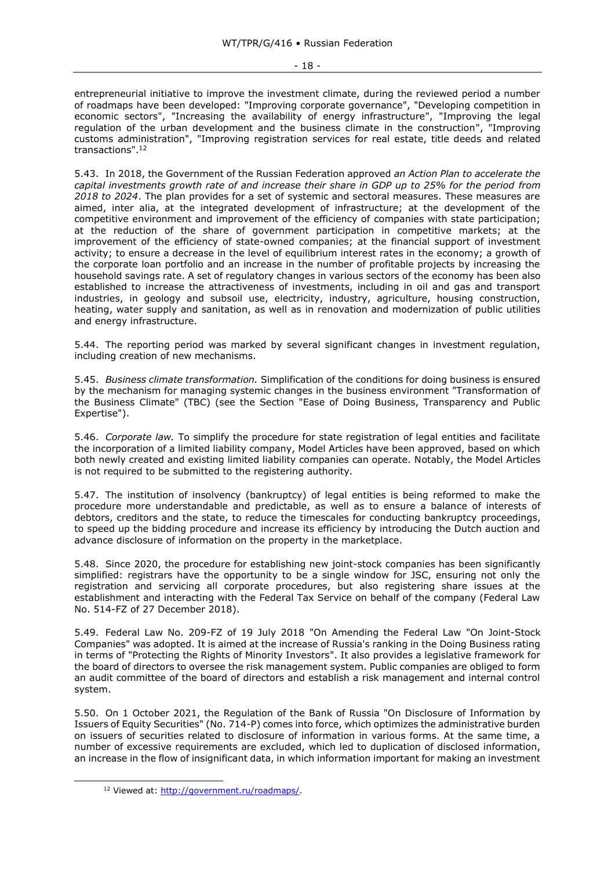entrepreneurial initiative to improve the investment climate, during the reviewed period a number of roadmaps have been developed: "Improving corporate governance", "Developing competition in economic sectors", "Increasing the availability of energy infrastructure", "Improving the legal regulation of the urban development and the business climate in the construction", "Improving customs administration", "Improving registration services for real estate, title deeds and related transactions".<sup>12</sup>

5.43. In 2018, the Government of the Russian Federation approved *an Action Plan to accelerate the capital investments growth rate of and increase their share in GDP up to 25% for the period from 2018 to 2024*. The plan provides for a set of systemic and sectoral measures. These measures are aimed, inter alia, at the integrated development of infrastructure; at the development of the competitive environment and improvement of the efficiency of companies with state participation; at the reduction of the share of government participation in competitive markets; at the improvement of the efficiency of state-owned companies; at the financial support of investment activity; to ensure a decrease in the level of equilibrium interest rates in the economy; a growth of the corporate loan portfolio and an increase in the number of profitable projects by increasing the household savings rate. A set of regulatory changes in various sectors of the economy has been also established to increase the attractiveness of investments, including in oil and gas and transport industries, in geology and subsoil use, electricity, industry, agriculture, housing construction, heating, water supply and sanitation, as well as in renovation and modernization of public utilities and energy infrastructure.

5.44. The reporting period was marked by several significant changes in investment regulation, including creation of new mechanisms.

5.45. *Business climate transformation.* Simplification of the conditions for doing business is ensured by the mechanism for managing systemic changes in the business environment "Transformation of the Business Climate" (TBC) (see the Section "Ease of Doing Business, Transparency and Public Expertise").

5.46. *Corporate law.* To simplify the procedure for state registration of legal entities and facilitate the incorporation of a limited liability company, Model Articles have been approved, based on which both newly created and existing limited liability companies can operate. Notably, the Model Articles is not required to be submitted to the registering authority.

5.47. The institution of insolvency (bankruptcy) of legal entities is being reformed to make the procedure more understandable and predictable, as well as to ensure a balance of interests of debtors, creditors and the state, to reduce the timescales for conducting bankruptcy proceedings, to speed up the bidding procedure and increase its efficiency by introducing the Dutch auction and advance disclosure of information on the property in the marketplace.

5.48. Since 2020, the procedure for establishing new joint-stock companies has been significantly simplified: registrars have the opportunity to be a single window for JSC, ensuring not only the registration and servicing all corporate procedures, but also registering share issues at the establishment and interacting with the Federal Tax Service on behalf of the company (Federal Law No. 514-FZ of 27 December 2018).

5.49. Federal Law No. 209-FZ of 19 July 2018 "On Amending the Federal Law "On Joint-Stock Companies" was adopted. It is aimed at the increase of Russia's ranking in the Doing Business rating in terms of "Protecting the Rights of Minority Investors". It also provides a legislative framework for the board of directors to oversee the risk management system. Public companies are obliged to form an audit committee of the board of directors and establish a risk management and internal control system.

5.50. On 1 October 2021, the Regulation of the Bank of Russia "On Disclosure of Information by Issuers of Equity Securities" (No. 714-P) comes into force, which optimizes the administrative burden on issuers of securities related to disclosure of information in various forms. At the same time, a number of excessive requirements are excluded, which led to duplication of disclosed information, an increase in the flow of insignificant data, in which information important for making an investment

<sup>&</sup>lt;sup>12</sup> Viewed at: http://government.ru/roadmaps/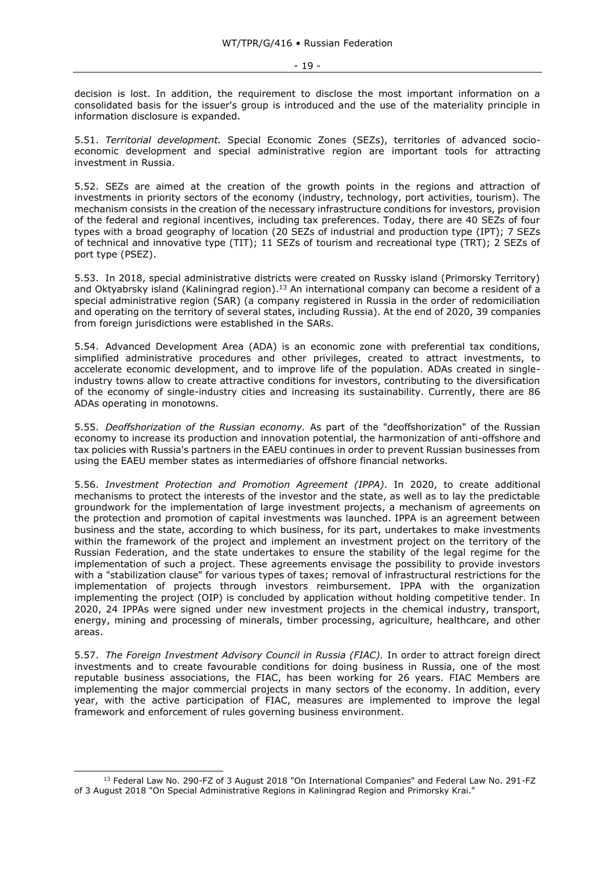decision is lost. In addition, the requirement to disclose the most important information on a consolidated basis for the issuer's group is introduced and the use of the materiality principle in information disclosure is expanded.

5.51. *Territorial development.* Special Economic Zones (SEZs), territories of advanced socioeconomic development and special administrative region are important tools for attracting investment in Russia.

5.52. SEZs are aimed at the creation of the growth points in the regions and attraction of investments in priority sectors of the economy (industry, technology, port activities, tourism). The mechanism consists in the creation of the necessary infrastructure conditions for investors, provision of the federal and regional incentives, including tax preferences. Today, there are 40 SEZs of four types with a broad geography of location (20 SEZs of industrial and production type (IPT); 7 SEZs of technical and innovative type (TIT); 11 SEZs of tourism and recreational type (TRT); 2 SEZs of port type (PSEZ).

5.53. In 2018, special administrative districts were created on Russky island (Primorsky Territory) and Oktyabrsky island (Kaliningrad region).<sup>13</sup> An international company can become a resident of a special administrative region (SAR) (a company registered in Russia in the order of redomiciliation and operating on the territory of several states, including Russia). At the end of 2020, 39 companies from foreign jurisdictions were established in the SARs.

5.54. Advanced Development Area (ADA) is an economic zone with preferential tax conditions, simplified administrative procedures and other privileges, created to attract investments, to accelerate economic development, and to improve life of the population. ADAs created in singleindustry towns allow to create attractive conditions for investors, contributing to the diversification of the economy of single-industry cities and increasing its sustainability. Currently, there are 86 ADAs operating in monotowns.

5.55. *Deoffshorization of the Russian economy.* As part of the "deoffshorization" of the Russian economy to increase its production and innovation potential, the harmonization of anti-offshore and tax policies with Russia's partners in the EAEU continues in order to prevent Russian businesses from using the EAEU member states as intermediaries of offshore financial networks.

5.56. *Investment Protection and Promotion Agreement (IPPA)*. In 2020, to create additional mechanisms to protect the interests of the investor and the state, as well as to lay the predictable groundwork for the implementation of large investment projects, a mechanism of agreements on the protection and promotion of capital investments was launched. IPPA is an agreement between business and the state, according to which business, for its part, undertakes to make investments within the framework of the project and implement an investment project on the territory of the Russian Federation, and the state undertakes to ensure the stability of the legal regime for the implementation of such a project. These agreements envisage the possibility to provide investors with a "stabilization clause" for various types of taxes; removal of infrastructural restrictions for the implementation of projects through investors reimbursement. IPPA with the organization implementing the project (OIP) is concluded by application without holding competitive tender. In 2020, 24 IPPAs were signed under new investment projects in the chemical industry, transport, energy, mining and processing of minerals, timber processing, agriculture, healthcare, and other areas.

5.57. *The Foreign Investment Advisory Council in Russia (FIAC).* In order to attract foreign direct investments and to create favourable conditions for doing business in Russia, one of the most reputable business associations, the FIAC, has been working for 26 years. FIAC Members are implementing the major commercial projects in many sectors of the economy. In addition, every year, with the active participation of FIAC, measures are implemented to improve the legal framework and enforcement of rules governing business environment.

<sup>13</sup> Federal Law No. 290-FZ of 3 August 2018 "On International Companies" and Federal Law No. 291-FZ of 3 August 2018 "On Special Administrative Regions in Kaliningrad Region and Primorsky Krai."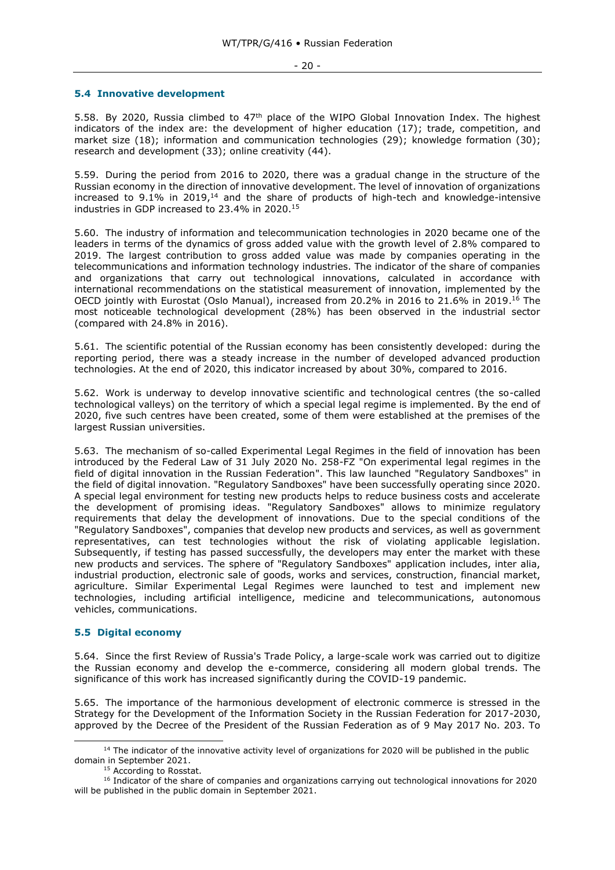#### - 20 -

#### <span id="page-19-0"></span>**5.4 Innovative development**

5.58. By 2020, Russia climbed to 47<sup>th</sup> place of the WIPO Global Innovation Index. The highest indicators of the index are: the development of higher education (17); trade, competition, and market size (18); information and communication technologies (29); knowledge formation (30); research and development (33); online creativity (44).

5.59. During the period from 2016 to 2020, there was a gradual change in the structure of the Russian economy in the direction of innovative development. The level of innovation of organizations increased to 9.1% in 2019,<sup>14</sup> and the share of products of high-tech and knowledge-intensive industries in GDP increased to 23.4% in 2020.<sup>15</sup>

5.60. The industry of information and telecommunication technologies in 2020 became one of the leaders in terms of the dynamics of gross added value with the growth level of 2.8% compared to 2019. The largest contribution to gross added value was made by companies operating in the telecommunications and information technology industries. The indicator of the share of companies and organizations that carry out technological innovations, calculated in accordance with international recommendations on the statistical measurement of innovation, implemented by the OECD jointly with Eurostat (Oslo Manual), increased from 20.2% in 2016 to 21.6% in 2019.<sup>16</sup> The most noticeable technological development (28%) has been observed in the industrial sector (compared with 24.8% in 2016).

5.61. The scientific potential of the Russian economy has been consistently developed: during the reporting period, there was a steady increase in the number of developed advanced production technologies. At the end of 2020, this indicator increased by about 30%, compared to 2016.

5.62. Work is underway to develop innovative scientific and technological centres (the so-called technological valleys) on the territory of which a special legal regime is implemented. By the end of 2020, five such centres have been created, some of them were established at the premises of the largest Russian universities.

5.63. The mechanism of so-called Experimental Legal Regimes in the field of innovation has been introduced by the Federal Law of 31 July 2020 No. 258-FZ "On experimental legal regimes in the field of digital innovation in the Russian Federation". This law launched "Regulatory Sandboxes" in the field of digital innovation. "Regulatory Sandboxes" have been successfully operating since 2020. A special legal environment for testing new products helps to reduce business costs and accelerate the development of promising ideas. "Regulatory Sandboxes" allows to minimize regulatory requirements that delay the development of innovations. Due to the special conditions of the "Regulatory Sandboxes", companies that develop new products and services, as well as government representatives, can test technologies without the risk of violating applicable legislation. Subsequently, if testing has passed successfully, the developers may enter the market with these new products and services. The sphere of "Regulatory Sandboxes" application includes, inter alia, industrial production, electronic sale of goods, works and services, construction, financial market, agriculture. Similar Experimental Legal Regimes were launched to test and implement new technologies, including artificial intelligence, medicine and telecommunications, autonomous vehicles, communications.

#### <span id="page-19-1"></span>**5.5 Digital economy**

5.64. Since the first Review of Russia's Trade Policy, a large-scale work was carried out to digitize the Russian economy and develop the e-commerce, considering all modern global trends. The significance of this work has increased significantly during the COVID-19 pandemic.

5.65. The importance of the harmonious development of electronic commerce is stressed in the Strategy for the Development of the Information Society in the Russian Federation for 2017-2030, approved by the Decree of the President of the Russian Federation as of 9 May 2017 No. 203. To

 $14$  The indicator of the innovative activity level of organizations for 2020 will be published in the public domain in September 2021.

<sup>&</sup>lt;sup>15</sup> According to Rosstat.

<sup>&</sup>lt;sup>16</sup> Indicator of the share of companies and organizations carrying out technological innovations for 2020 will be published in the public domain in September 2021.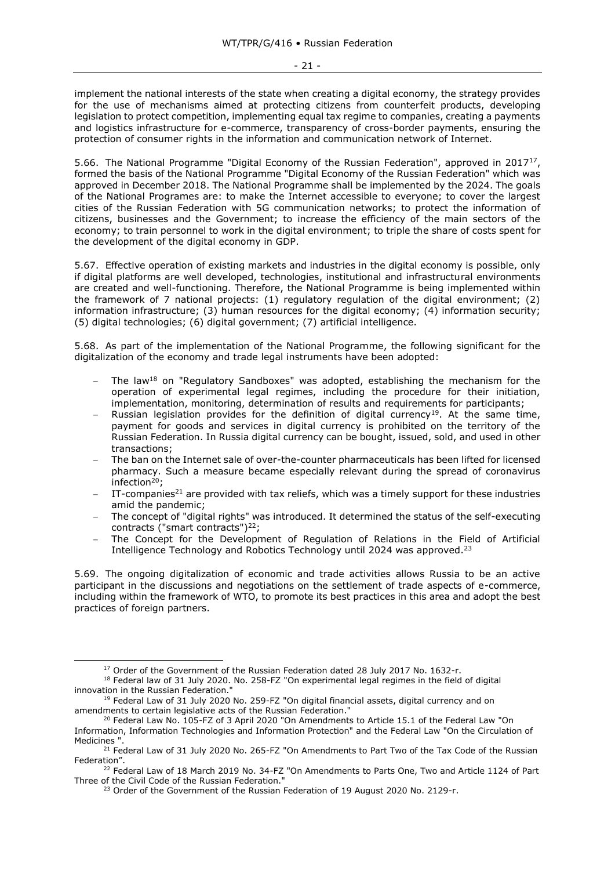implement the national interests of the state when creating a digital economy, the strategy provides for the use of mechanisms aimed at protecting citizens from counterfeit products, developing legislation to protect competition, implementing equal tax regime to companies, creating a payments and logistics infrastructure for e-commerce, transparency of cross-border payments, ensuring the protection of consumer rights in the information and communication network of Internet.

5.66. The National Programme "Digital Economy of the Russian Federation", approved in 2017<sup>17</sup>, formed the basis of the National Programme "Digital Economy of the Russian Federation" which was approved in December 2018. The National Programme shall be implemented by the 2024. The goals of the National Programes are: to make the Internet accessible to everyone; to cover the largest cities of the Russian Federation with 5G communication networks; to protect the information of citizens, businesses and the Government; to increase the efficiency of the main sectors of the economy; to train personnel to work in the digital environment; to triple the share of costs spent for the development of the digital economy in GDP.

5.67. Effective operation of existing markets and industries in the digital economy is possible, only if digital platforms are well developed, technologies, institutional and infrastructural environments are created and well-functioning. Therefore, the National Programme is being implemented within the framework of 7 national projects: (1) regulatory regulation of the digital environment; (2) information infrastructure; (3) human resources for the digital economy; (4) information security; (5) digital technologies; (6) digital government; (7) artificial intelligence.

5.68. As part of the implementation of the National Programme, the following significant for the digitalization of the economy and trade legal instruments have been adopted:

- The law<sup>18</sup> on "Regulatory Sandboxes" was adopted, establishing the mechanism for the operation of experimental legal regimes, including the procedure for their initiation, implementation, monitoring, determination of results and requirements for participants;
- Russian legislation provides for the definition of digital currency<sup>19</sup>. At the same time, payment for goods and services in digital currency is prohibited on the territory of the Russian Federation. In Russia digital currency can be bought, issued, sold, and used in other transactions;
- The ban on the Internet sale of over-the-counter pharmaceuticals has been lifted for licensed pharmacy. Such a measure became especially relevant during the spread of coronavirus  $infection<sup>20</sup>$
- IT-companies<sup>21</sup> are provided with tax reliefs, which was a timely support for these industries amid the pandemic;
- The concept of "digital rights" was introduced. It determined the status of the self-executing contracts ("smart contracts") <sup>22</sup>;
- The Concept for the Development of Regulation of Relations in the Field of Artificial Intelligence Technology and Robotics Technology until 2024 was approved.<sup>23</sup>

5.69. The ongoing digitalization of economic and trade activities allows Russia to be an active participant in the discussions and negotiations on the settlement of trade aspects of e-commerce, including within the framework of WTO, to promote its best practices in this area and adopt the best practices of foreign partners.

<sup>&</sup>lt;sup>17</sup> Order of the Government of the Russian Federation dated 28 July 2017 No. 1632-r.

<sup>&</sup>lt;sup>18</sup> Federal law of 31 July 2020. No. 258-FZ "On experimental legal regimes in the field of digital innovation in the Russian Federation."

<sup>&</sup>lt;sup>19</sup> Federal Law of 31 July 2020 No. 259-FZ "On digital financial assets, digital currency and on amendments to certain legislative acts of the Russian Federation."

<sup>&</sup>lt;sup>20</sup> Federal Law No. 105-FZ of 3 April 2020 "On Amendments to Article 15.1 of the Federal Law "On Information, Information Technologies and Information Protection" and the Federal Law "On the Circulation of Medicines ".

<sup>&</sup>lt;sup>21</sup> Federal Law of 31 July 2020 No. 265-FZ "On Amendments to Part Two of the Tax Code of the Russian Federation".

<sup>&</sup>lt;sup>22</sup> Federal Law of 18 March 2019 No. 34-FZ "On Amendments to Parts One, Two and Article 1124 of Part Three of the Civil Code of the Russian Federation."

<sup>&</sup>lt;sup>23</sup> Order of the Government of the Russian Federation of 19 August 2020 No. 2129-r.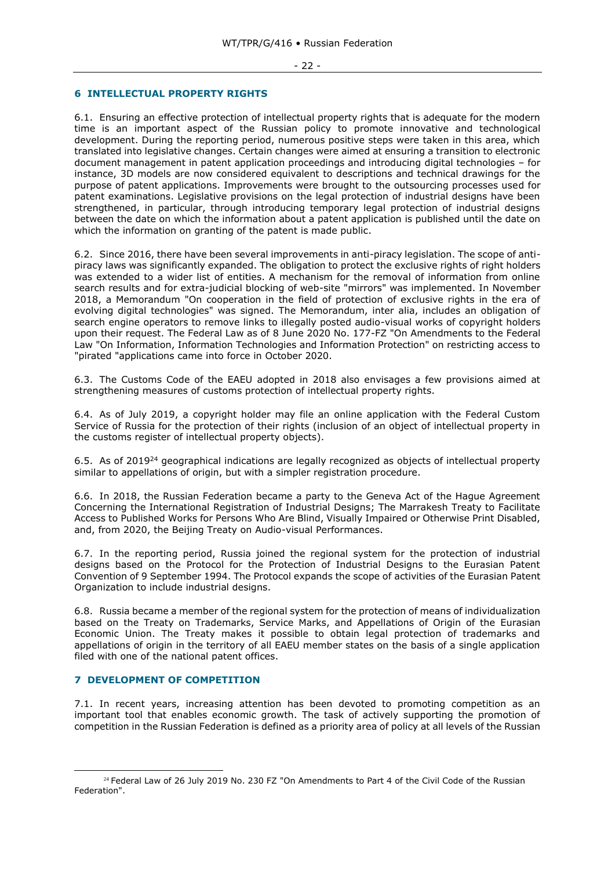# <span id="page-21-0"></span>**6 INTELLECTUAL PROPERTY RIGHTS**

6.1. Ensuring an effective protection of intellectual property rights that is adequate for the modern time is an important aspect of the Russian policy to promote innovative and technological development. During the reporting period, numerous positive steps were taken in this area, which translated into legislative changes. Certain changes were aimed at ensuring a transition to electronic document management in patent application proceedings and introducing digital technologies – for instance, 3D models are now considered equivalent to descriptions and technical drawings for the purpose of patent applications. Improvements were brought to the outsourcing processes used for patent examinations. Legislative provisions on the legal protection of industrial designs have been strengthened, in particular, through introducing temporary legal protection of industrial designs between the date on which the information about a patent application is published until the date on which the information on granting of the patent is made public.

6.2. Since 2016, there have been several improvements in anti-piracy legislation. The scope of antipiracy laws was significantly expanded. The obligation to protect the exclusive rights of right holders was extended to a wider list of entities. A mechanism for the removal of information from online search results and for extra-judicial blocking of web-site "mirrors" was implemented. In November 2018, a Memorandum "On cooperation in the field of protection of exclusive rights in the era of evolving digital technologies" was signed. The Memorandum, inter alia, includes an obligation of search engine operators to remove links to illegally posted audio-visual works of copyright holders upon their request. The Federal Law as of 8 June 2020 No. 177-FZ "On Amendments to the Federal Law "On Information, Information Technologies and Information Protection" on restricting access to "pirated "applications came into force in October 2020.

6.3. The Customs Code of the EAEU adopted in 2018 also envisages a few provisions aimed at strengthening measures of customs protection of intellectual property rights.

6.4. As of July 2019, a copyright holder may file an online application with the Federal Custom Service of Russia for the protection of their rights (inclusion of an object of intellectual property in the customs register of intellectual property objects).

6.5. As of 2019<sup>24</sup> geographical indications are legally recognized as objects of intellectual property similar to appellations of origin, but with a simpler registration procedure.

6.6. In 2018, the Russian Federation became a party to the Geneva Act of the Hague Agreement Concerning the International Registration of Industrial Designs; The Marrakesh Treaty to Facilitate Access to Published Works for Persons Who Are Blind, Visually Impaired or Otherwise Print Disabled, and, from 2020, the Beijing Treaty on Audio-visual Performances.

6.7. In the reporting period, Russia joined the regional system for the protection of industrial designs based on the Protocol for the Protection of Industrial Designs to the Eurasian Patent Convention of 9 September 1994. The Protocol expands the scope of activities of the Eurasian Patent Organization to include industrial designs.

6.8. Russia became a member of the regional system for the protection of means of individualization based on the Treaty on Trademarks, Service Marks, and Appellations of Origin of the Eurasian Economic Union. The Treaty makes it possible to obtain legal protection of trademarks and appellations of origin in the territory of all EAEU member states on the basis of a single application filed with one of the national patent offices.

#### <span id="page-21-1"></span>**7 DEVELOPMENT OF COMPETITION**

7.1. In recent years, increasing attention has been devoted to promoting competition as an important tool that enables economic growth. The task of actively supporting the promotion of competition in the Russian Federation is defined as a priority area of policy at all levels of the Russian

<sup>&</sup>lt;sup>24</sup> Federal Law of 26 July 2019 No. 230 FZ "On Amendments to Part 4 of the Civil Code of the Russian Federation".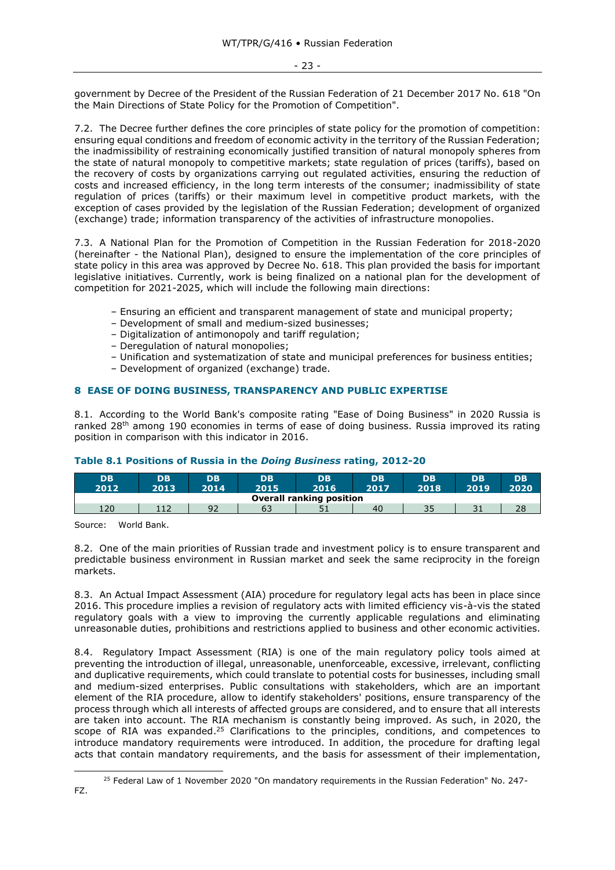government by Decree of the President of the Russian Federation of 21 December 2017 No. 618 "On the Main Directions of State Policy for the Promotion of Competition".

7.2. The Decree further defines the core principles of state policy for the promotion of competition: ensuring equal conditions and freedom of economic activity in the territory of the Russian Federation; the inadmissibility of restraining economically justified transition of natural monopoly spheres from the state of natural monopoly to competitive markets; state regulation of prices (tariffs), based on the recovery of costs by organizations carrying out regulated activities, ensuring the reduction of costs and increased efficiency, in the long term interests of the consumer; inadmissibility of state regulation of prices (tariffs) or their maximum level in competitive product markets, with the exception of cases provided by the legislation of the Russian Federation; development of organized (exchange) trade; information transparency of the activities of infrastructure monopolies.

7.3. A National Plan for the Promotion of Competition in the Russian Federation for 2018-2020 (hereinafter - the National Plan), designed to ensure the implementation of the core principles of state policy in this area was approved by Decree No. 618. This plan provided the basis for important legislative initiatives. Currently, work is being finalized on a national plan for the development of competition for 2021-2025, which will include the following main directions:

- Ensuring an efficient and transparent management of state and municipal property;
- Development of small and medium-sized businesses;
- Digitalization of antimonopoly and tariff regulation;
- Deregulation of natural monopolies;
- Unification and systematization of state and municipal preferences for business entities;
- Development of organized (exchange) trade.

# <span id="page-22-0"></span>**8 EASE OF DOING BUSINESS, TRANSPARENCY AND PUBLIC EXPERTISE**

8.1. According to the World Bank's composite rating "Ease of Doing Business" in 2020 Russia is ranked 28<sup>th</sup> among 190 economies in terms of ease of doing business. Russia improved its rating position in comparison with this indicator in 2016.

# **Table 8.1 Positions of Russia in the** *Doing Business* **rating, 2012-20**

| <b>DB</b><br>2012               | DB<br>2013  | DB<br>2014 | DB<br>2015 | <b>DB</b><br>2016 | <b>DB</b><br>2017 | <b>DB</b><br>2018 | DB<br>2019 | DB<br>2020 |  |
|---------------------------------|-------------|------------|------------|-------------------|-------------------|-------------------|------------|------------|--|
| <b>Overall ranking position</b> |             |            |            |                   |                   |                   |            |            |  |
| 120                             | (17)<br>ᆠᆠᄼ | 92         | 63         | J 1               | 40                | 35                | っ.<br>⊥ ب  | 28         |  |

Source: World Bank.

8.2. One of the main priorities of Russian trade and investment policy is to ensure transparent and predictable business environment in Russian market and seek the same reciprocity in the foreign markets.

8.3. An Actual Impact Assessment (AIA) procedure for regulatory legal acts has been in place since 2016. This procedure implies a revision of regulatory acts with limited efficiency vis-à-vis the stated regulatory goals with a view to improving the currently applicable regulations and eliminating unreasonable duties, prohibitions and restrictions applied to business and other economic activities.

8.4. Regulatory Impact Assessment (RIA) is one of the main regulatory policy tools aimed at preventing the introduction of illegal, unreasonable, unenforceable, excessive, irrelevant, conflicting and duplicative requirements, which could translate to potential costs for businesses, including small and medium-sized enterprises. Public consultations with stakeholders, which are an important element of the RIA procedure, allow to identify stakeholders' positions, ensure transparency of the process through which all interests of affected groups are considered, and to ensure that all interests are taken into account. The RIA mechanism is constantly being improved. As such, in 2020, the scope of RIA was expanded.<sup>25</sup> Clarifications to the principles, conditions, and competences to introduce mandatory requirements were introduced. In addition, the procedure for drafting legal acts that contain mandatory requirements, and the basis for assessment of their implementation,

<sup>&</sup>lt;sup>25</sup> Federal Law of 1 November 2020 "On mandatory requirements in the Russian Federation" No. 247-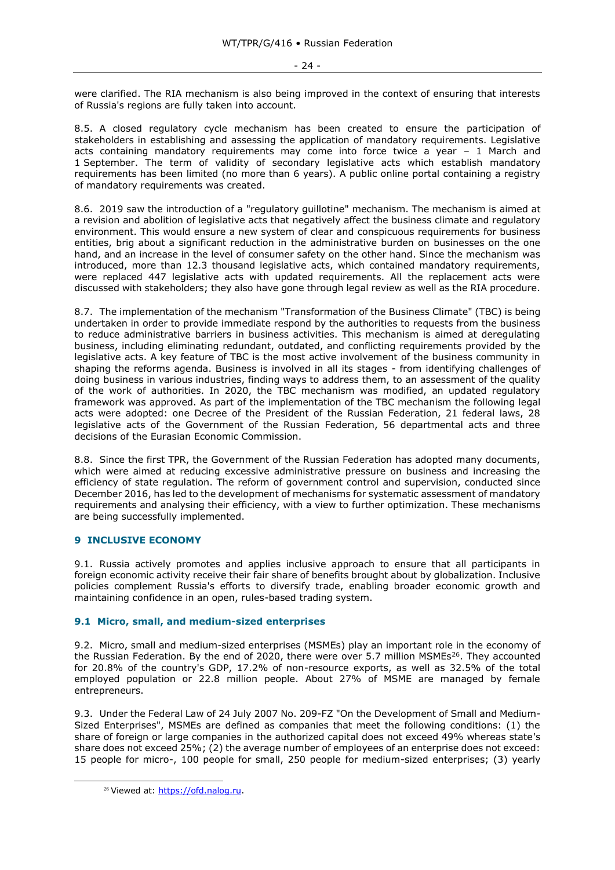were clarified. The RIA mechanism is also being improved in the context of ensuring that interests of Russia's regions are fully taken into account.

8.5. A closed regulatory cycle mechanism has been created to ensure the participation of stakeholders in establishing and assessing the application of mandatory requirements. Legislative acts containing mandatory requirements may come into force twice a year – 1 March and 1 September. The term of validity of secondary legislative acts which establish mandatory requirements has been limited (no more than 6 years). A public online portal containing a registry of mandatory requirements was created.

8.6. 2019 saw the introduction of a "regulatory guillotine" mechanism. The mechanism is aimed at a revision and abolition of legislative acts that negatively affect the business climate and regulatory environment. This would ensure a new system of clear and conspicuous requirements for business entities, brig about a significant reduction in the administrative burden on businesses on the one hand, and an increase in the level of consumer safety on the other hand. Since the mechanism was introduced, more than 12.3 thousand legislative acts, which contained mandatory requirements, were replaced 447 legislative acts with updated requirements. All the replacement acts were discussed with stakeholders; they also have gone through legal review as well as the RIA procedure.

8.7. The implementation of the mechanism "Transformation of the Business Climate" (TBC) is being undertaken in order to provide immediate respond by the authorities to requests from the business to reduce administrative barriers in business activities. This mechanism is aimed at deregulating business, including eliminating redundant, outdated, and conflicting requirements provided by the legislative acts. A key feature of TBC is the most active involvement of the business community in shaping the reforms agenda. Business is involved in all its stages - from identifying challenges of doing business in various industries, finding ways to address them, to an assessment of the quality of the work of authorities. In 2020, the TBC mechanism was modified, an updated regulatory framework was approved. As part of the implementation of the TBC mechanism the following legal acts were adopted: one Decree of the President of the Russian Federation, 21 federal laws, 28 legislative acts of the Government of the Russian Federation, 56 departmental acts and three decisions of the Eurasian Economic Commission.

8.8. Since the first TPR, the Government of the Russian Federation has adopted many documents, which were aimed at reducing excessive administrative pressure on business and increasing the efficiency of state regulation. The reform of government control and supervision, conducted since December 2016, has led to the development of mechanisms for systematic assessment of mandatory requirements and analysing their efficiency, with a view to further optimization. These mechanisms are being successfully implemented.

# <span id="page-23-0"></span>**9 INCLUSIVE ECONOMY**

9.1. Russia actively promotes and applies inclusive approach to ensure that all participants in foreign economic activity receive their fair share of benefits brought about by globalization. Inclusive policies complement Russia's efforts to diversify trade, enabling broader economic growth and maintaining confidence in an open, rules-based trading system.

#### <span id="page-23-1"></span>**9.1 Micro, small, and medium-sized enterprises**

9.2. Micro, small and medium-sized enterprises (MSMEs) play an important role in the economy of the Russian Federation. By the end of 2020, there were over 5.7 million MSMEs<sup>26</sup>. They accounted for 20.8% of the country's GDP, 17.2% of non-resource exports, as well as 32.5% of the total employed population or 22.8 million people. About 27% of MSME are managed by female entrepreneurs.

9.3. Under the Federal Law of 24 July 2007 No. 209-FZ "On the Development of Small and Medium-Sized Enterprises", MSMEs are defined as companies that meet the following conditions: (1) the share of foreign or large companies in the authorized capital does not exceed 49% whereas state's share does not exceed 25%; (2) the average number of employees of an enterprise does not exceed: 15 people for micro-, 100 people for small, 250 people for medium-sized enterprises; (3) yearly

<sup>&</sup>lt;sup>26</sup> Viewed at: [https://ofd.nalog.ru.](https://ofd.nalog.ru/)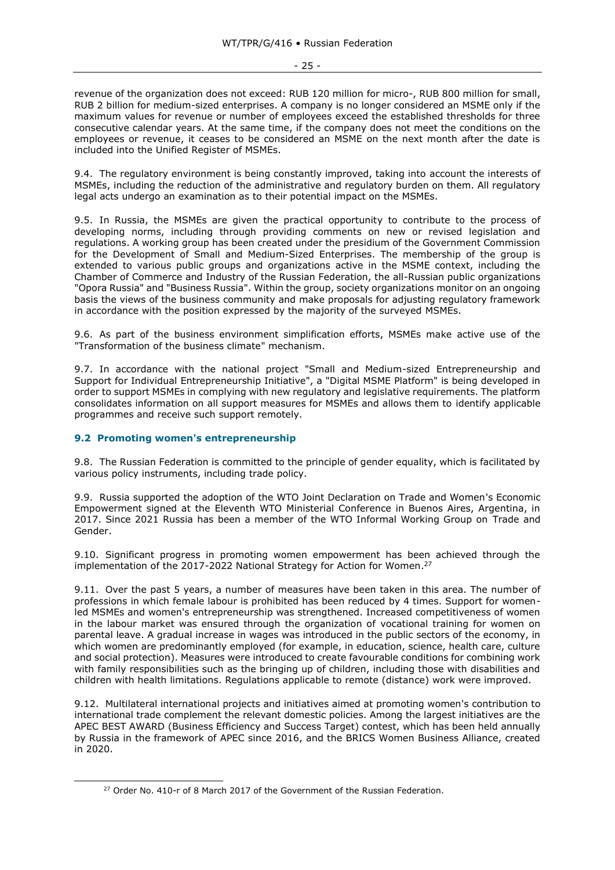- 25 -

revenue of the organization does not exceed: RUB 120 million for micro-, RUB 800 million for small, RUB 2 billion for medium-sized enterprises. A company is no longer considered an MSME only if the maximum values for revenue or number of employees exceed the established thresholds for three consecutive calendar years. At the same time, if the company does not meet the conditions on the employees or revenue, it ceases to be considered an MSME on the next month after the date is included into the Unified Register of MSMEs.

9.4. The regulatory environment is being constantly improved, taking into account the interests of MSMEs, including the reduction of the administrative and regulatory burden on them. All regulatory legal acts undergo an examination as to their potential impact on the MSMEs.

9.5. In Russia, the MSMEs are given the practical opportunity to contribute to the process of developing norms, including through providing comments on new or revised legislation and regulations. A working group has been created under the presidium of the Government Commission for the Development of Small and Medium-Sized Enterprises. The membership of the group is extended to various public groups and organizations active in the MSME context, including the Chamber of Commerce and Industry of the Russian Federation, the all-Russian public organizations "Opora Russia" and "Business Russia". Within the group, society organizations monitor on an ongoing basis the views of the business community and make proposals for adjusting regulatory framework in accordance with the position expressed by the majority of the surveyed MSMEs.

9.6. As part of the business environment simplification efforts, MSMEs make active use of the "Transformation of the business climate" mechanism.

9.7. In accordance with the national project "Small and Medium-sized Entrepreneurship and Support for Individual Entrepreneurship Initiative", a "Digital MSME Platform" is being developed in order to support MSMEs in complying with new regulatory and legislative requirements. The platform consolidates information on all support measures for MSMEs and allows them to identify applicable programmes and receive such support remotely.

# <span id="page-24-0"></span>**9.2 Promoting women's entrepreneurship**

9.8. The Russian Federation is committed to the principle of gender equality, which is facilitated by various policy instruments, including trade policy.

9.9. Russia supported the adoption of the WTO Joint Declaration on Trade and Women's Economic Empowerment signed at the Eleventh WTO Ministerial Conference in Buenos Aires, Argentina, in 2017. Since 2021 Russia has been a member of the WTO Informal Working Group on Trade and Gender.

9.10. Significant progress in promoting women empowerment has been achieved through the implementation of the 2017-2022 National Strategy for Action for Women.<sup>27</sup>

9.11. Over the past 5 years, a number of measures have been taken in this area. The number of professions in which female labour is prohibited has been reduced by 4 times. Support for womenled MSMEs and women's entrepreneurship was strengthened. Increased competitiveness of women in the labour market was ensured through the organization of vocational training for women on parental leave. A gradual increase in wages was introduced in the public sectors of the economy, in which women are predominantly employed (for example, in education, science, health care, culture and social protection). Measures were introduced to create favourable conditions for combining work with family responsibilities such as the bringing up of children, including those with disabilities and children with health limitations. Regulations applicable to remote (distance) work were improved.

9.12. Multilateral international projects and initiatives aimed at promoting women's contribution to international trade complement the relevant domestic policies. Among the largest initiatives are the APEC BEST AWARD (Business Efficiency and Success Target) contest, which has been held annually by Russia in the framework of APEC since 2016, and the BRICS Women Business Alliance, created in 2020.

<sup>&</sup>lt;sup>27</sup> Order No. 410-r of 8 March 2017 of the Government of the Russian Federation.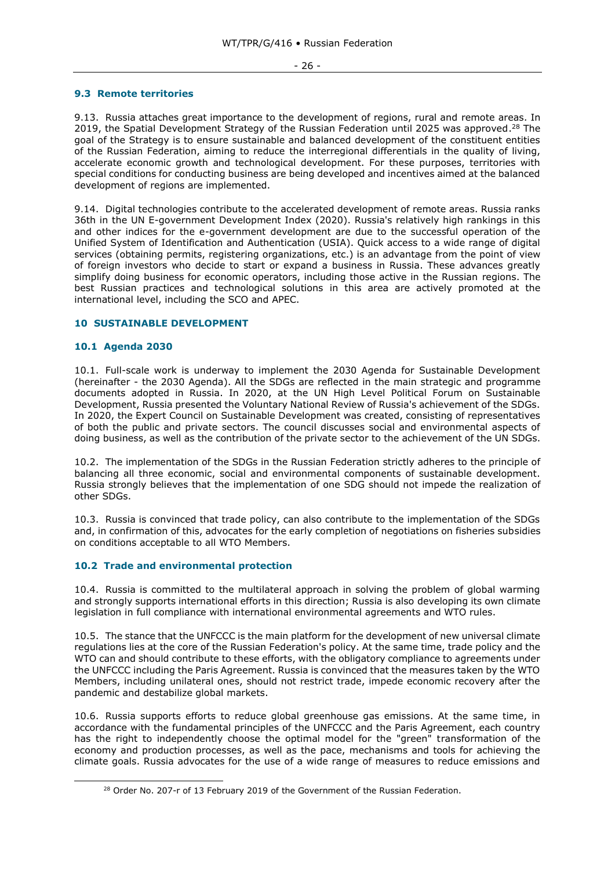#### - 26 -

#### <span id="page-25-0"></span>**9.3 Remote territories**

9.13. Russia attaches great importance to the development of regions, rural and remote areas. In 2019, the Spatial Development Strategy of the Russian Federation until 2025 was approved.<sup>28</sup> The goal of the Strategy is to ensure sustainable and balanced development of the constituent entities of the Russian Federation, aiming to reduce the interregional differentials in the quality of living, accelerate economic growth and technological development. For these purposes, territories with special conditions for conducting business are being developed and incentives aimed at the balanced development of regions are implemented.

9.14. Digital technologies contribute to the accelerated development of remote areas. Russia ranks 36th in the UN E-government Development Index (2020). Russia's relatively high rankings in this and other indices for the e-government development are due to the successful operation of the Unified System of Identification and Authentication (USIA). Quick access to a wide range of digital services (obtaining permits, registering organizations, etc.) is an advantage from the point of view of foreign investors who decide to start or expand a business in Russia. These advances greatly simplify doing business for economic operators, including those active in the Russian regions. The best Russian practices and technological solutions in this area are actively promoted at the international level, including the SCO and APEC.

# <span id="page-25-1"></span>**10 SUSTAINABLE DEVELOPMENT**

# <span id="page-25-2"></span>**10.1 Agenda 2030**

10.1. Full-scale work is underway to implement the 2030 Agenda for Sustainable Development (hereinafter - the 2030 Agenda). All the SDGs are reflected in the main strategic and programme documents adopted in Russia. In 2020, at the UN High Level Political Forum on Sustainable Development, Russia presented the Voluntary National Review of Russia's achievement of the SDGs. In 2020, the Expert Council on Sustainable Development was created, consisting of representatives of both the public and private sectors. The council discusses social and environmental aspects of doing business, as well as the contribution of the private sector to the achievement of the UN SDGs.

10.2. The implementation of the SDGs in the Russian Federation strictly adheres to the principle of balancing all three economic, social and environmental components of sustainable development. Russia strongly believes that the implementation of one SDG should not impede the realization of other SDGs.

10.3. Russia is convinced that trade policy, can also contribute to the implementation of the SDGs and, in confirmation of this, advocates for the early completion of negotiations on fisheries subsidies on conditions acceptable to all WTO Members.

# <span id="page-25-3"></span>**10.2 Trade and environmental protection**

10.4. Russia is committed to the multilateral approach in solving the problem of global warming and strongly supports international efforts in this direction; Russia is also developing its own climate legislation in full compliance with international environmental agreements and WTO rules.

10.5. The stance that the UNFCCC is the main platform for the development of new universal climate regulations lies at the core of the Russian Federation's policy. At the same time, trade policy and the WTO can and should contribute to these efforts, with the obligatory compliance to agreements under the UNFCCC including the Paris Agreement. Russia is convinced that the measures taken by the WTO Members, including unilateral ones, should not restrict trade, impede economic recovery after the pandemic and destabilize global markets.

10.6. Russia supports efforts to reduce global greenhouse gas emissions. At the same time, in accordance with the fundamental principles of the UNFCCC and the Paris Agreement, each country has the right to independently choose the optimal model for the "green" transformation of the economy and production processes, as well as the pace, mechanisms and tools for achieving the climate goals. Russia advocates for the use of a wide range of measures to reduce emissions and

<sup>&</sup>lt;sup>28</sup> Order No. 207-r of 13 February 2019 of the Government of the Russian Federation.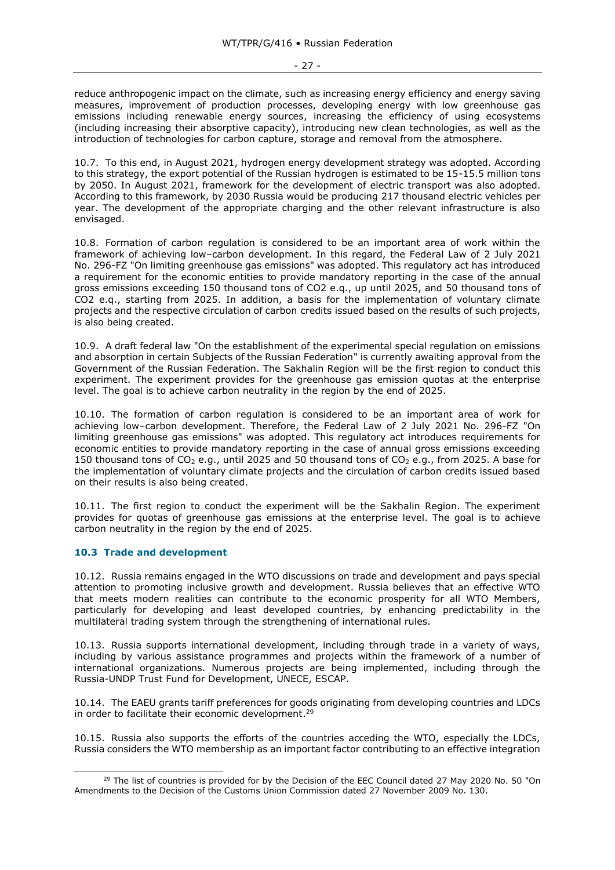reduce anthropogenic impact on the climate, such as increasing energy efficiency and energy saving measures, improvement of production processes, developing energy with low greenhouse gas emissions including renewable energy sources, increasing the efficiency of using ecosystems (including increasing their absorptive capacity), introducing new clean technologies, as well as the introduction of technologies for carbon capture, storage and removal from the atmosphere.

10.7. To this end, in August 2021, hydrogen energy development strategy was adopted. According to this strategy, the export potential of the Russian hydrogen is estimated to be 15-15.5 million tons by 2050. In August 2021, framework for the development of electric transport was also adopted. According to this framework, by 2030 Russia would be producing 217 thousand electric vehicles per year. The development of the appropriate charging and the other relevant infrastructure is also envisaged.

10.8. Formation of carbon regulation is considered to be an important area of work within the framework of achieving low–carbon development. In this regard, the Federal Law of 2 July 2021 No. 296-FZ "On limiting greenhouse gas emissions" was adopted. This regulatory act has introduced a requirement for the economic entities to provide mandatory reporting in the case of the annual gross emissions exceeding 150 thousand tons of CO2 e.q., up until 2025, and 50 thousand tons of CO2 e.q., starting from 2025. In addition, a basis for the implementation of voluntary climate projects and the respective circulation of carbon credits issued based on the results of such projects, is also being created.

10.9. A draft federal law "On the establishment of the experimental special regulation on emissions and absorption in certain Subjects of the Russian Federation" is currently awaiting approval from the Government of the Russian Federation. The Sakhalin Region will be the first region to conduct this experiment. The experiment provides for the greenhouse gas emission quotas at the enterprise level. The goal is to achieve carbon neutrality in the region by the end of 2025.

10.10. The formation of carbon regulation is considered to be an important area of work for achieving low–carbon development. Therefore, the Federal Law of 2 July 2021 No. 296-FZ "On limiting greenhouse gas emissions" was adopted. This regulatory act introduces requirements for economic entities to provide mandatory reporting in the case of annual gross emissions exceeding 150 thousand tons of  $CO<sub>2</sub>$  e.g., until 2025 and 50 thousand tons of  $CO<sub>2</sub>$  e.g., from 2025. A base for the implementation of voluntary climate projects and the circulation of carbon credits issued based on their results is also being created.

10.11. The first region to conduct the experiment will be the Sakhalin Region. The experiment provides for quotas of greenhouse gas emissions at the enterprise level. The goal is to achieve carbon neutrality in the region by the end of 2025.

# <span id="page-26-0"></span>**10.3 Trade and development**

10.12. Russia remains engaged in the WTO discussions on trade and development and pays special attention to promoting inclusive growth and development. Russia believes that an effective WTO that meets modern realities can contribute to the economic prosperity for all WTO Members, particularly for developing and least developed countries, by enhancing predictability in the multilateral trading system through the strengthening of international rules.

10.13. Russia supports international development, including through trade in a variety of ways, including by various assistance programmes and projects within the framework of a number of international organizations. Numerous projects are being implemented, including through the Russia-UNDP Trust Fund for Development, UNECE, ESCAP.

10.14. The EAEU grants tariff preferences for goods originating from developing countries and LDCs in order to facilitate their economic development.<sup>29</sup>

10.15. Russia also supports the efforts of the countries acceding the WTO, especially the LDCs, Russia considers the WTO membership as an important factor contributing to an effective integration

 $^{29}$  The list of countries is provided for by the Decision of the EEC Council dated 27 May 2020 No. 50 "On Amendments to the Decision of the Customs Union Commission dated 27 November 2009 No. 130.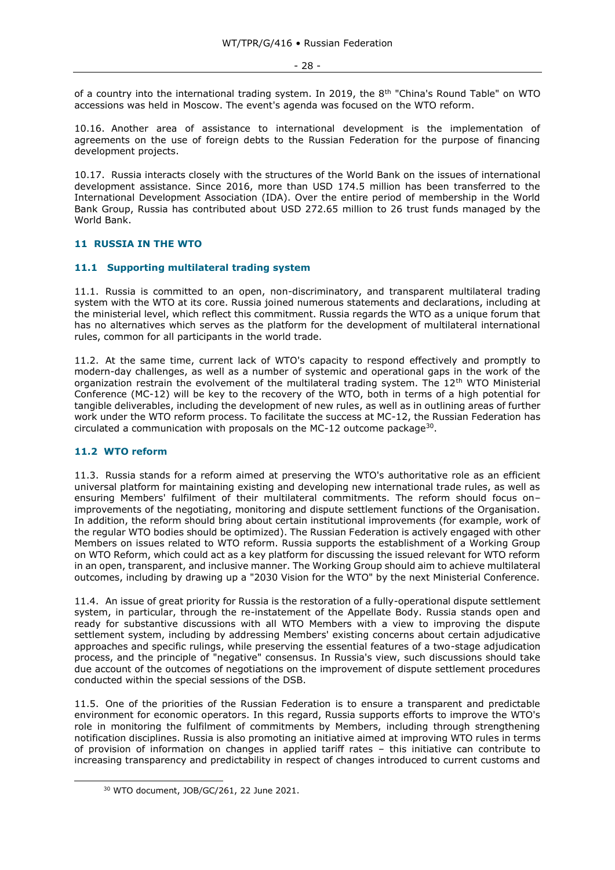of a country into the international trading system. In 2019, the 8<sup>th</sup> "China's Round Table" on WTO accessions was held in Moscow. The event's agenda was focused on the WTO reform.

10.16. Another area of assistance to international development is the implementation of agreements on the use of foreign debts to the Russian Federation for the purpose of financing development projects.

10.17. Russia interacts closely with the structures of the World Bank on the issues of international development assistance. Since 2016, more than USD 174.5 million has been transferred to the International Development Association (IDA). Over the entire period of membership in the World Bank Group, Russia has contributed about USD 272.65 million to 26 trust funds managed by the World Bank.

# <span id="page-27-0"></span>**11 RUSSIA IN THE WTO**

#### <span id="page-27-1"></span>**11.1 Supporting multilateral trading system**

11.1. Russia is committed to an open, non-discriminatory, and transparent multilateral trading system with the WTO at its core. Russia joined numerous statements and declarations, including at the ministerial level, which reflect this commitment. Russia regards the WTO as a unique forum that has no alternatives which serves as the platform for the development of multilateral international rules, common for all participants in the world trade.

11.2. At the same time, current lack of WTO's capacity to respond effectively and promptly to modern-day challenges, as well as a number of systemic and operational gaps in the work of the organization restrain the evolvement of the multilateral trading system. The  $12<sup>th</sup>$  WTO Ministerial Conference (MC-12) will be key to the recovery of the WTO, both in terms of a high potential for tangible deliverables, including the development of new rules, as well as in outlining areas of further work under the WTO reform process. To facilitate the success at MC-12, the Russian Federation has circulated a communication with proposals on the MC-12 outcome package $30$ .

# <span id="page-27-2"></span>**11.2 WTO reform**

11.3. Russia stands for a reform aimed at preserving the WTO's authoritative role as an efficient universal platform for maintaining existing and developing new international trade rules, as well as ensuring Members' fulfilment of their multilateral commitments. The reform should focus on– improvements of the negotiating, monitoring and dispute settlement functions of the Organisation. In addition, the reform should bring about certain institutional improvements (for example, work of the regular WTO bodies should be optimized). The Russian Federation is actively engaged with other Members on issues related to WTO reform. Russia supports the establishment of a Working Group on WTO Reform, which could act as a key platform for discussing the issued relevant for WTO reform in an open, transparent, and inclusive manner. The Working Group should aim to achieve multilateral outcomes, including by drawing up a "2030 Vision for the WTO" by the next Ministerial Conference.

11.4. An issue of great priority for Russia is the restoration of a fully-operational dispute settlement system, in particular, through the re-instatement of the Appellate Body. Russia stands open and ready for substantive discussions with all WTO Members with a view to improving the dispute settlement system, including by addressing Members' existing concerns about certain adjudicative approaches and specific rulings, while preserving the essential features of a two-stage adjudication process, and the principle of "negative" consensus. In Russia's view, such discussions should take due account of the outcomes of negotiations on the improvement of dispute settlement procedures conducted within the special sessions of the DSB.

11.5. One of the priorities of the Russian Federation is to ensure a transparent and predictable environment for economic operators. In this regard, Russia supports efforts to improve the WTO's role in monitoring the fulfilment of commitments by Members, including through strengthening notification disciplines. Russia is also promoting an initiative aimed at improving WTO rules in terms of provision of information on changes in applied tariff rates – this initiative can contribute to increasing transparency and predictability in respect of changes introduced to current customs and

<sup>30</sup> WTO document, JOB/GC/261, 22 June 2021.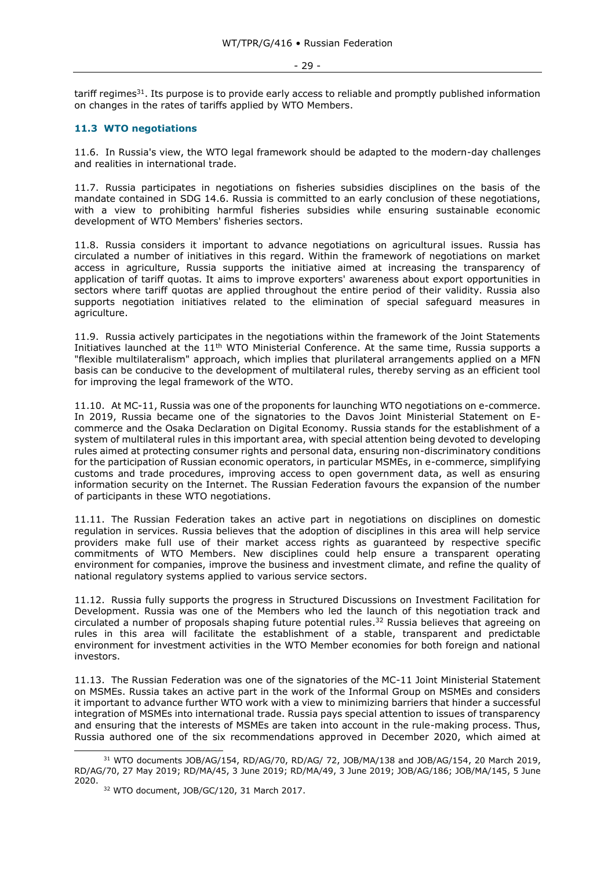#### - 29 -

tariff regimes<sup>31</sup>. Its purpose is to provide early access to reliable and promptly published information on changes in the rates of tariffs applied by WTO Members.

# <span id="page-28-0"></span>**11.3 WTO negotiations**

11.6. In Russia's view, the WTO legal framework should be adapted to the modern-day challenges and realities in international trade.

11.7. Russia participates in negotiations on fisheries subsidies disciplines on the basis of the mandate contained in SDG 14.6. Russia is committed to an early conclusion of these negotiations, with a view to prohibiting harmful fisheries subsidies while ensuring sustainable economic development of WTO Members' fisheries sectors.

11.8. Russia considers it important to advance negotiations on agricultural issues. Russia has circulated a number of initiatives in this regard. Within the framework of negotiations on market access in agriculture, Russia supports the initiative aimed at increasing the transparency of application of tariff quotas. It aims to improve exporters' awareness about export opportunities in sectors where tariff quotas are applied throughout the entire period of their validity. Russia also supports negotiation initiatives related to the elimination of special safeguard measures in agriculture.

11.9. Russia actively participates in the negotiations within the framework of the Joint Statements Initiatives launched at the 11<sup>th</sup> WTO Ministerial Conference. At the same time, Russia supports a "flexible multilateralism" approach, which implies that plurilateral arrangements applied on a MFN basis can be conducive to the development of multilateral rules, thereby serving as an efficient tool for improving the legal framework of the WTO.

11.10. At MC-11, Russia was one of the proponents for launching WTO negotiations on e-commerce. In 2019, Russia became one of the signatories to the Davos Joint Ministerial Statement on Ecommerce and the Osaka Declaration on Digital Economy. Russia stands for the establishment of a system of multilateral rules in this important area, with special attention being devoted to developing rules aimed at protecting consumer rights and personal data, ensuring non-discriminatory conditions for the participation of Russian economic operators, in particular MSMEs, in e-commerce, simplifying customs and trade procedures, improving access to open government data, as well as ensuring information security on the Internet. The Russian Federation favours the expansion of the number of participants in these WTO negotiations.

11.11. The Russian Federation takes an active part in negotiations on disciplines on domestic regulation in services. Russia believes that the adoption of disciplines in this area will help service providers make full use of their market access rights as guaranteed by respective specific commitments of WTO Members. New disciplines could help ensure a transparent operating environment for companies, improve the business and investment climate, and refine the quality of national regulatory systems applied to various service sectors.

11.12. Russia fully supports the progress in Structured Discussions on Investment Facilitation for Development. Russia was one of the Members who led the launch of this negotiation track and circulated a number of proposals shaping future potential rules. <sup>32</sup> Russia believes that agreeing on rules in this area will facilitate the establishment of a stable, transparent and predictable environment for investment activities in the WTO Member economies for both foreign and national investors.

11.13. The Russian Federation was one of the signatories of the MС-11 Joint Ministerial Statement on MSMEs. Russia takes an active part in the work of the Informal Group on MSMEs and considers it important to advance further WTO work with a view to minimizing barriers that hinder a successful integration of MSMEs into international trade. Russia pays special attention to issues of transparency and ensuring that the interests of MSMEs are taken into account in the rule-making process. Thus, Russia authored one of the six recommendations approved in December 2020, which aimed at

<sup>&</sup>lt;sup>31</sup> WTO documents JOB/AG/154, RD/AG/70, RD/AG/ 72, JOB/MA/138 and JOB/AG/154, 20 March 2019, RD/AG/70, 27 May 2019; RD/MA/45, 3 June 2019; RD/MA/49, 3 June 2019; JOB/AG/186; JOB/MA/145, 5 June 2020.

<sup>32</sup> WTO document, JOB/GC/120, 31 March 2017.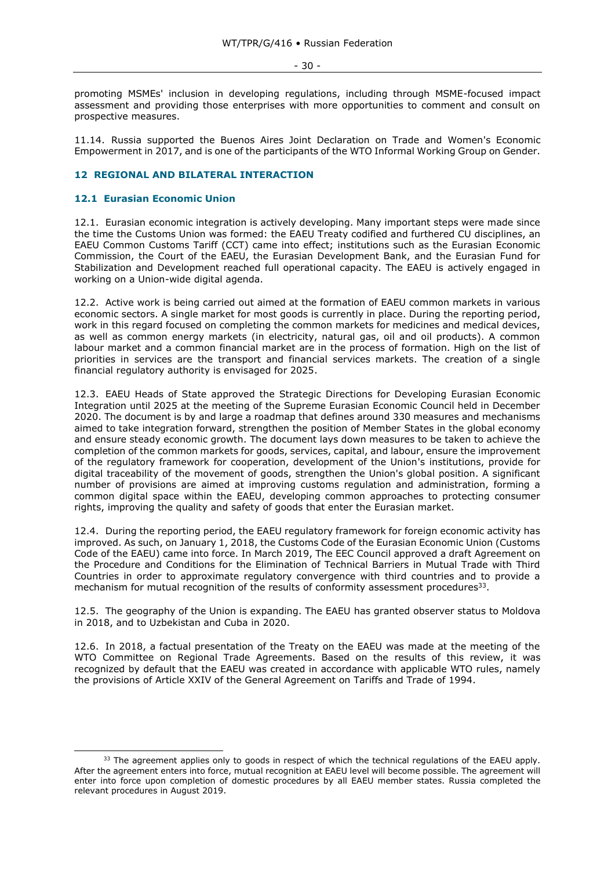- 30 -

promoting MSMEs' inclusion in developing regulations, including through MSME-focused impact assessment and providing those enterprises with more opportunities to comment and consult on prospective measures.

11.14. Russia supported the Buenos Aires Joint Declaration on Trade and Women's Economic Empowerment in 2017, and is one of the participants of the WTO Informal Working Group on Gender.

# <span id="page-29-0"></span>**12 REGIONAL AND BILATERAL INTERACTION**

#### <span id="page-29-1"></span>**12.1 Eurasian Economic Union**

12.1. Eurasian economic integration is actively developing. Many important steps were made since the time the Customs Union was formed: the EAEU Treaty codified and furthered CU disciplines, an EAEU Common Customs Tariff (CCT) came into effect; institutions such as the Eurasian Economic Commission, the Court of the EAEU, the Eurasian Development Bank, and the Eurasian Fund for Stabilization and Development reached full operational capacity. The EAEU is actively engaged in working on a Union-wide digital agenda.

12.2. Active work is being carried out aimed at the formation of EAEU common markets in various economic sectors. A single market for most goods is currently in place. During the reporting period, work in this regard focused on completing the common markets for medicines and medical devices, as well as common energy markets (in electricity, natural gas, oil and oil products). A common labour market and a common financial market are in the process of formation. High on the list of priorities in services are the transport and financial services markets. The creation of a single financial regulatory authority is envisaged for 2025.

12.3. EAEU Heads of State approved the Strategic Directions for Developing Eurasian Economic Integration until 2025 at the meeting of the Supreme Eurasian Economic Council held in December 2020. The document is by and large a roadmap that defines around 330 measures and mechanisms aimed to take integration forward, strengthen the position of Member States in the global economy and ensure steady economic growth. The document lays down measures to be taken to achieve the completion of the common markets for goods, services, capital, and labour, ensure the improvement of the regulatory framework for cooperation, development of the Union's institutions, provide for digital traceability of the movement of goods, strengthen the Union's global position. A significant number of provisions are aimed at improving customs regulation and administration, forming a common digital space within the EAEU, developing common approaches to protecting consumer rights, improving the quality and safety of goods that enter the Eurasian market.

12.4. During the reporting period, the EAEU regulatory framework for foreign economic activity has improved. As such, on January 1, 2018, the Customs Code of the Eurasian Economic Union (Customs Code of the EAEU) came into force. In March 2019, The EEC Council approved a draft Agreement on the Procedure and Conditions for the Elimination of Technical Barriers in Mutual Trade with Third Countries in order to approximate regulatory convergence with third countries and to provide a mechanism for mutual recognition of the results of conformity assessment procedures $33$ .

12.5. The geography of the Union is expanding. The EAEU has granted observer status to Moldova in 2018, and to Uzbekistan and Cuba in 2020.

12.6. In 2018, a factual presentation of the Treaty on the EAEU was made at the meeting of the WTO Committee on Regional Trade Agreements. Based on the results of this review, it was recognized by default that the EAEU was created in accordance with applicable WTO rules, namely the provisions of Article XXIV of the General Agreement on Tariffs and Trade of 1994.

<sup>&</sup>lt;sup>33</sup> The agreement applies only to goods in respect of which the technical regulations of the EAEU apply. After the agreement enters into force, mutual recognition at EAEU level will become possible. The agreement will enter into force upon completion of domestic procedures by all EAEU member states. Russia completed the relevant procedures in August 2019.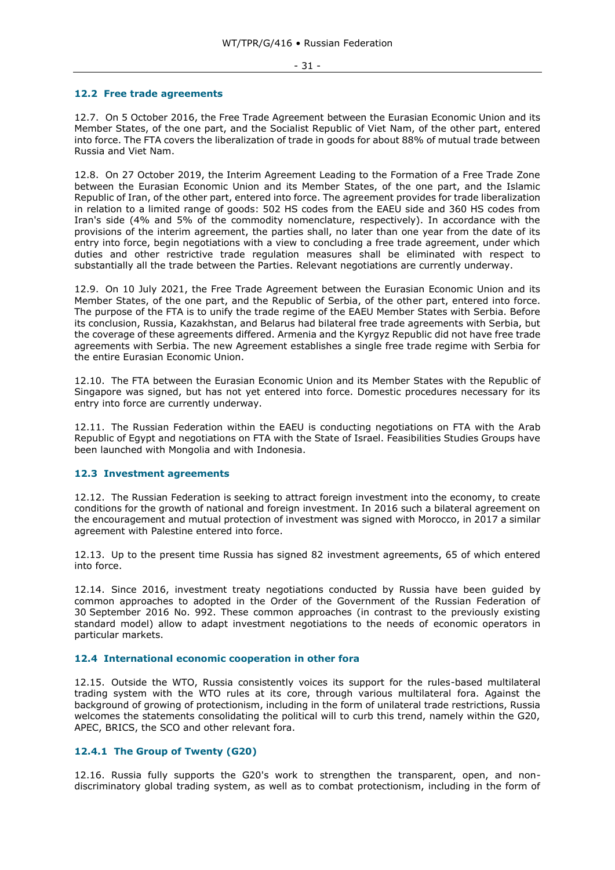#### - 31 -

#### <span id="page-30-0"></span>**12.2 Free trade agreements**

12.7. On 5 October 2016, the Free Trade Agreement between the Eurasian Economic Union and its Member States, of the one part, and the Socialist Republic of Viet Nam, of the other part, entered into force. The FTA covers the liberalization of trade in goods for about 88% of mutual trade between Russia and Viet Nam.

12.8. On 27 October 2019, the Interim Agreement Leading to the Formation of a Free Trade Zone between the Eurasian Economic Union and its Member States, of the one part, and the Islamic Republic of Iran, of the other part, entered into force. The agreement provides for trade liberalization in relation to a limited range of goods: 502 HS codes from the EAEU side and 360 HS codes from Iran's side (4% and 5% of the commodity nomenclature, respectively). In accordance with the provisions of the interim agreement, the parties shall, no later than one year from the date of its entry into force, begin negotiations with a view to concluding a free trade agreement, under which duties and other restrictive trade regulation measures shall be eliminated with respect to substantially all the trade between the Parties. Relevant negotiations are currently underway.

12.9. On 10 July 2021, the Free Trade Agreement between the Eurasian Economic Union and its Member States, of the one part, and the Republic of Serbia, of the other part, entered into force. The purpose of the FTA is to unify the trade regime of the EAEU Member States with Serbia. Before its conclusion, Russia, Kazakhstan, and Belarus had bilateral free trade agreements with Serbia, but the coverage of these agreements differed. Armenia and the Kyrgyz Republic did not have free trade agreements with Serbia. The new Agreement establishes a single free trade regime with Serbia for the entire Eurasian Economic Union.

12.10. The FTA between the Eurasian Economic Union and its Member States with the Republic of Singapore was signed, but has not yet entered into force. Domestic procedures necessary for its entry into force are currently underway.

12.11. The Russian Federation within the EAEU is conducting negotiations on FTA with the Arab Republic of Egypt and negotiations on FTA with the State of Israel. Feasibilities Studies Groups have been launched with Mongolia and with Indonesia.

#### <span id="page-30-1"></span>**12.3 Investment agreements**

12.12. The Russian Federation is seeking to attract foreign investment into the economy, to create conditions for the growth of national and foreign investment. In 2016 such a bilateral agreement on the encouragement and mutual protection of investment was signed with Morocco, in 2017 a similar agreement with Palestine entered into force.

12.13. Up to the present time Russia has signed 82 investment agreements, 65 of which entered into force.

12.14. Since 2016, investment treaty negotiations conducted by Russia have been guided by common approaches to adopted in the Order of the Government of the Russian Federation of 30 September 2016 No. 992. These common approaches (in contrast to the previously existing standard model) allow to adapt investment negotiations to the needs of economic operators in particular markets.

#### <span id="page-30-2"></span>**12.4 International economic cooperation in other fora**

12.15. Outside the WTO, Russia consistently voices its support for the rules-based multilateral trading system with the WTO rules at its core, through various multilateral fora. Against the background of growing of protectionism, including in the form of unilateral trade restrictions, Russia welcomes the statements consolidating the political will to curb this trend, namely within the G20, APEC, BRICS, the SCO and other relevant fora.

#### <span id="page-30-3"></span>**12.4.1 The Group of Twenty (G20)**

12.16. Russia fully supports the G20's work to strengthen the transparent, open, and nondiscriminatory global trading system, as well as to combat protectionism, including in the form of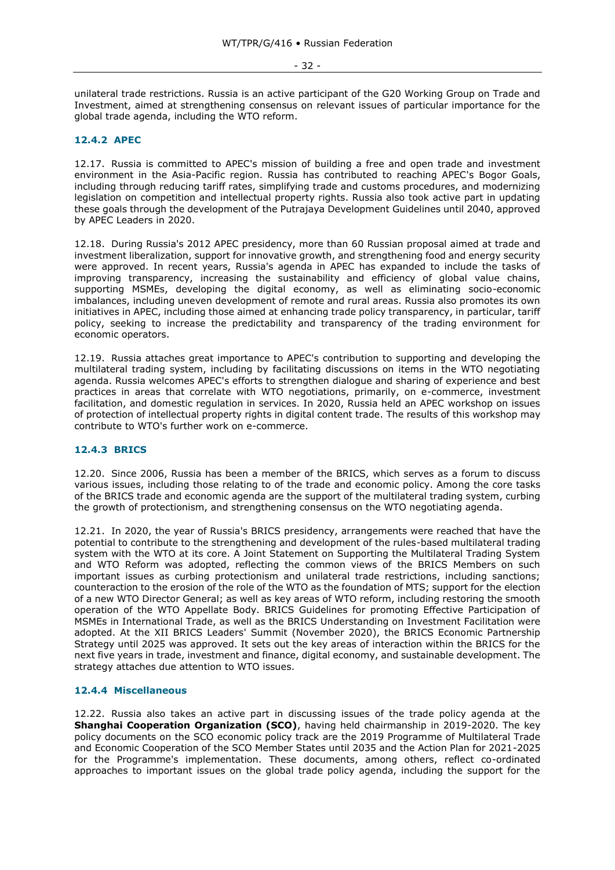unilateral trade restrictions. Russia is an active participant of the G20 Working Group on Trade and Investment, aimed at strengthening consensus on relevant issues of particular importance for the global trade agenda, including the WTO reform.

#### <span id="page-31-0"></span>**12.4.2 APEC**

12.17. Russia is committed to APEC's mission of building a free and open trade and investment environment in the Asia-Pacific region. Russia has contributed to reaching APEC's Bogor Goals, including through reducing tariff rates, simplifying trade and customs procedures, and modernizing legislation on competition and intellectual property rights. Russia also took active part in updating these goals through the development of the Putrajaya Development Guidelines until 2040, approved by APEC Leaders in 2020.

12.18. During Russia's 2012 APEC presidency, more than 60 Russian proposal aimed at trade and investment liberalization, support for innovative growth, and strengthening food and energy security were approved. In recent years, Russia's agenda in APEC has expanded to include the tasks of improving transparency, increasing the sustainability and efficiency of global value chains, supporting MSMEs, developing the digital economy, as well as eliminating socio-economic imbalances, including uneven development of remote and rural areas. Russia also promotes its own initiatives in APEC, including those aimed at enhancing trade policy transparency, in particular, tariff policy, seeking to increase the predictability and transparency of the trading environment for economic operators.

12.19. Russia attaches great importance to APEC's contribution to supporting and developing the multilateral trading system, including by facilitating discussions on items in the WTO negotiating agenda. Russia welcomes APEC's efforts to strengthen dialogue and sharing of experience and best practices in areas that correlate with WTO negotiations, primarily, on e-commerce, investment facilitation, and domestic regulation in services. In 2020, Russia held an APEC workshop on issues of protection of intellectual property rights in digital content trade. The results of this workshop may contribute to WTO's further work on e-commerce.

#### <span id="page-31-1"></span>**12.4.3 BRICS**

12.20. Since 2006, Russia has been a member of the BRICS, which serves as a forum to discuss various issues, including those relating to of the trade and economic policy. Among the core tasks of the BRICS trade and economic agenda are the support of the multilateral trading system, curbing the growth of protectionism, and strengthening consensus on the WTO negotiating agenda.

12.21. In 2020, the year of Russia's BRICS presidency, arrangements were reached that have the potential to contribute to the strengthening and development of the rules-based multilateral trading system with the WTO at its core. A Joint Statement on Supporting the Multilateral Trading System and WTO Reform was adopted, reflecting the common views of the BRICS Members on such important issues as curbing protectionism and unilateral trade restrictions, including sanctions; counteraction to the erosion of the role of the WTO as the foundation of MTS; support for the election of a new WTO Director General; as well as key areas of WTO reform, including restoring the smooth operation of the WTO Appellate Body. BRICS Guidelines for promoting Effective Participation of MSMEs in International Trade, as well as the BRICS Understanding on Investment Facilitation were adopted. At the XII BRICS Leaders' Summit (November 2020), the BRICS Economic Partnership Strategy until 2025 was approved. It sets out the key areas of interaction within the BRICS for the next five years in trade, investment and finance, digital economy, and sustainable development. The strategy attaches due attention to WTO issues.

# <span id="page-31-2"></span>**12.4.4 Miscellaneous**

12.22. Russia also takes an active part in discussing issues of the trade policy agenda at the **Shanghai Cooperation Organization (SCO)**, having held chairmanship in 2019-2020. The key policy documents on the SCO economic policy track are the 2019 Programme of Multilateral Trade and Economic Cooperation of the SCO Member States until 2035 and the Action Plan for 2021-2025 for the Programme's implementation. These documents, among others, reflect co-ordinated approaches to important issues on the global trade policy agenda, including the support for the